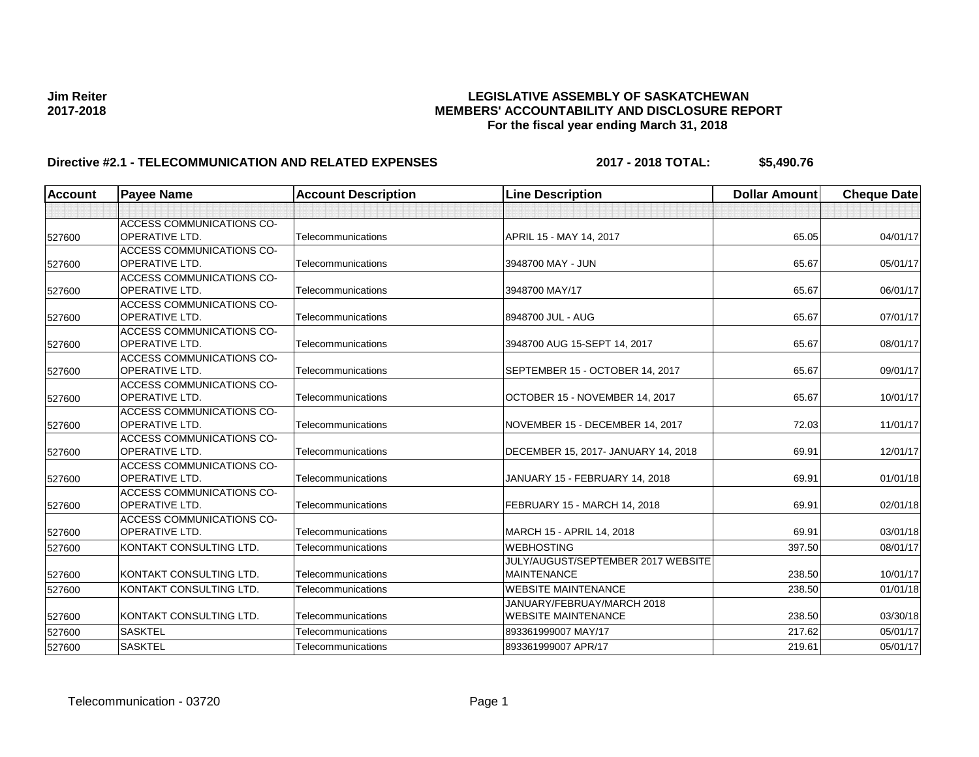### **Jim Reiter LEGISLATIVE ASSEMBLY OF SASKATCHEWAN 2017-2018 MEMBERS' ACCOUNTABILITY AND DISCLOSURE REPORT For the fiscal year ending March 31, 2018**

# **Directive #2.1 - TELECOMMUNICATION AND RELATED EXPENSES 2017 - 2018 TOTAL: \$5,490.76**

| <b>Account</b> | <b>Payee Name</b>                                         | <b>Account Description</b> | <b>Line Description</b>                                  | <b>Dollar Amount</b> | <b>Cheque Date</b> |
|----------------|-----------------------------------------------------------|----------------------------|----------------------------------------------------------|----------------------|--------------------|
|                |                                                           |                            |                                                          |                      |                    |
| 527600         | ACCESS COMMUNICATIONS CO-<br>OPERATIVE LTD.               | Telecommunications         | APRIL 15 - MAY 14, 2017                                  | 65.05                | 04/01/17           |
| 527600         | ACCESS COMMUNICATIONS CO-<br><b>OPERATIVE LTD.</b>        | Telecommunications         | 3948700 MAY - JUN                                        | 65.67                | 05/01/17           |
| 527600         | <b>ACCESS COMMUNICATIONS CO-</b><br><b>OPERATIVE LTD.</b> | Telecommunications         | 3948700 MAY/17                                           | 65.67                | 06/01/17           |
| 527600         | <b>ACCESS COMMUNICATIONS CO-</b><br>OPERATIVE LTD.        | Telecommunications         | 8948700 JUL - AUG                                        | 65.67                | 07/01/17           |
| 527600         | ACCESS COMMUNICATIONS CO-<br><b>OPERATIVE LTD.</b>        | Telecommunications         | 3948700 AUG 15-SEPT 14, 2017                             | 65.67                | 08/01/17           |
| 527600         | <b>ACCESS COMMUNICATIONS CO-</b><br>OPERATIVE LTD.        | Telecommunications         | SEPTEMBER 15 - OCTOBER 14, 2017                          | 65.67                | 09/01/17           |
| 527600         | <b>ACCESS COMMUNICATIONS CO-</b><br><b>OPERATIVE LTD.</b> | Telecommunications         | OCTOBER 15 - NOVEMBER 14, 2017                           | 65.67                | 10/01/17           |
| 527600         | ACCESS COMMUNICATIONS CO-<br><b>OPERATIVE LTD.</b>        | Telecommunications         | NOVEMBER 15 - DECEMBER 14, 2017                          | 72.03                | 11/01/17           |
| 527600         | <b>ACCESS COMMUNICATIONS CO-</b><br><b>OPERATIVE LTD.</b> | Telecommunications         | DECEMBER 15, 2017- JANUARY 14, 2018                      | 69.91                | 12/01/17           |
| 527600         | <b>ACCESS COMMUNICATIONS CO-</b><br><b>OPERATIVE LTD.</b> | Telecommunications         | JANUARY 15 - FEBRUARY 14, 2018                           | 69.91                | 01/01/18           |
| 527600         | <b>ACCESS COMMUNICATIONS CO-</b><br><b>OPERATIVE LTD.</b> | Telecommunications         | FEBRUARY 15 - MARCH 14, 2018                             | 69.91                | 02/01/18           |
| 527600         | ACCESS COMMUNICATIONS CO-<br>OPERATIVE LTD.               | Telecommunications         | MARCH 15 - APRIL 14, 2018                                | 69.91                | 03/01/18           |
| 527600         | KONTAKT CONSULTING LTD.                                   | Telecommunications         | <b>WEBHOSTING</b>                                        | 397.50               | 08/01/17           |
| 527600         | KONTAKT CONSULTING LTD.                                   | Telecommunications         | JULY/AUGUST/SEPTEMBER 2017 WEBSITE<br><b>MAINTENANCE</b> | 238.50               | 10/01/17           |
| 527600         | KONTAKT CONSULTING LTD.                                   | Telecommunications         | <b>WEBSITE MAINTENANCE</b>                               | 238.50               | 01/01/18           |
| 527600         | KONTAKT CONSULTING LTD.                                   | Telecommunications         | JANUARY/FEBRUAY/MARCH 2018<br><b>WEBSITE MAINTENANCE</b> | 238.50               | 03/30/18           |
| 527600         | <b>SASKTEL</b>                                            | Telecommunications         | 893361999007 MAY/17                                      | 217.62               | 05/01/17           |
| 527600         | <b>SASKTEL</b>                                            | Telecommunications         | 893361999007 APR/17                                      | 219.61               | 05/01/17           |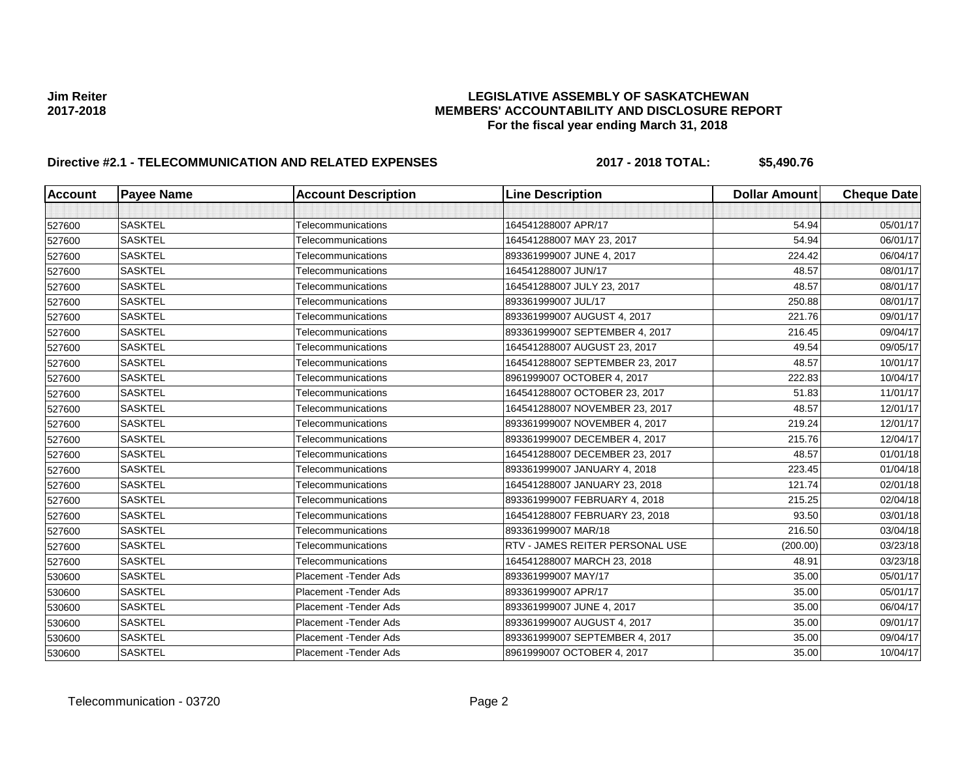### **Jim Reiter LEGISLATIVE ASSEMBLY OF SASKATCHEWAN 2017-2018 MEMBERS' ACCOUNTABILITY AND DISCLOSURE REPORT For the fiscal year ending March 31, 2018**

# **Directive #2.1 - TELECOMMUNICATION AND RELATED EXPENSES 2017 - 2018 TOTAL: \$5,490.76**

| <b>Account</b> | <b>Payee Name</b> | <b>Account Description</b>    | <b>Line Description</b>         | <b>Dollar Amount</b> | <b>Cheque Date</b> |
|----------------|-------------------|-------------------------------|---------------------------------|----------------------|--------------------|
|                |                   |                               |                                 |                      |                    |
| 527600         | <b>SASKTEL</b>    | Telecommunications            | 164541288007 APR/17             | 54.94                | 05/01/17           |
| 527600         | <b>SASKTEL</b>    | Telecommunications            | 164541288007 MAY 23, 2017       | 54.94                | 06/01/17           |
| 527600         | <b>SASKTEL</b>    | Telecommunications            | 893361999007 JUNE 4, 2017       | 224.42               | 06/04/17           |
| 527600         | <b>SASKTEL</b>    | Telecommunications            | 164541288007 JUN/17             | 48.57                | 08/01/17           |
| 527600         | <b>SASKTEL</b>    | Telecommunications            | 164541288007 JULY 23, 2017      | 48.57                | 08/01/17           |
| 527600         | <b>SASKTEL</b>    | Telecommunications            | 893361999007 JUL/17             | 250.88               | 08/01/17           |
| 527600         | <b>SASKTEL</b>    | Telecommunications            | 893361999007 AUGUST 4, 2017     | 221.76               | 09/01/17           |
| 527600         | <b>SASKTEL</b>    | Telecommunications            | 893361999007 SEPTEMBER 4, 2017  | 216.45               | 09/04/17           |
| 527600         | <b>SASKTEL</b>    | Telecommunications            | 164541288007 AUGUST 23, 2017    | 49.54                | 09/05/17           |
| 527600         | <b>SASKTEL</b>    | Telecommunications            | 164541288007 SEPTEMBER 23, 2017 | 48.57                | 10/01/17           |
| 527600         | <b>SASKTEL</b>    | Telecommunications            | 8961999007 OCTOBER 4, 2017      | 222.83               | 10/04/17           |
| 527600         | <b>SASKTEL</b>    | Telecommunications            | 164541288007 OCTOBER 23, 2017   | 51.83                | 11/01/17           |
| 527600         | <b>SASKTEL</b>    | Telecommunications            | 164541288007 NOVEMBER 23, 2017  | 48.57                | 12/01/17           |
| 527600         | <b>SASKTEL</b>    | Telecommunications            | 893361999007 NOVEMBER 4, 2017   | 219.24               | 12/01/17           |
| 527600         | <b>SASKTEL</b>    | Telecommunications            | 893361999007 DECEMBER 4, 2017   | 215.76               | 12/04/17           |
| 527600         | <b>SASKTEL</b>    | Telecommunications            | 164541288007 DECEMBER 23, 2017  | 48.57                | 01/01/18           |
| 527600         | <b>SASKTEL</b>    | <b>Telecommunications</b>     | 893361999007 JANUARY 4, 2018    | 223.45               | 01/04/18           |
| 527600         | <b>SASKTEL</b>    | Telecommunications            | 164541288007 JANUARY 23, 2018   | 121.74               | 02/01/18           |
| 527600         | <b>SASKTEL</b>    | Telecommunications            | 893361999007 FEBRUARY 4, 2018   | 215.25               | 02/04/18           |
| 527600         | <b>SASKTEL</b>    | Telecommunications            | 164541288007 FEBRUARY 23, 2018  | 93.50                | 03/01/18           |
| 527600         | <b>SASKTEL</b>    | Telecommunications            | 893361999007 MAR/18             | 216.50               | 03/04/18           |
| 527600         | <b>SASKTEL</b>    | Telecommunications            | RTV - JAMES REITER PERSONAL USE | (200.00)             | 03/23/18           |
| 527600         | <b>SASKTEL</b>    | Telecommunications            | 164541288007 MARCH 23, 2018     | 48.91                | 03/23/18           |
| 530600         | <b>SASKTEL</b>    | Placement - Tender Ads        | 893361999007 MAY/17             | 35.00                | 05/01/17           |
| 530600         | <b>SASKTEL</b>    | Placement - Tender Ads        | 893361999007 APR/17             | 35.00                | 05/01/17           |
| 530600         | <b>SASKTEL</b>    | Placement - Tender Ads        | 893361999007 JUNE 4, 2017       | 35.00                | 06/04/17           |
| 530600         | <b>SASKTEL</b>    | Placement - Tender Ads        | 893361999007 AUGUST 4, 2017     | 35.00                | 09/01/17           |
| 530600         | <b>SASKTEL</b>    | <b>Placement - Tender Ads</b> | 893361999007 SEPTEMBER 4, 2017  | 35.00                | 09/04/17           |
| 530600         | <b>SASKTEL</b>    | <b>Placement - Tender Ads</b> | 8961999007 OCTOBER 4, 2017      | 35.00                | 10/04/17           |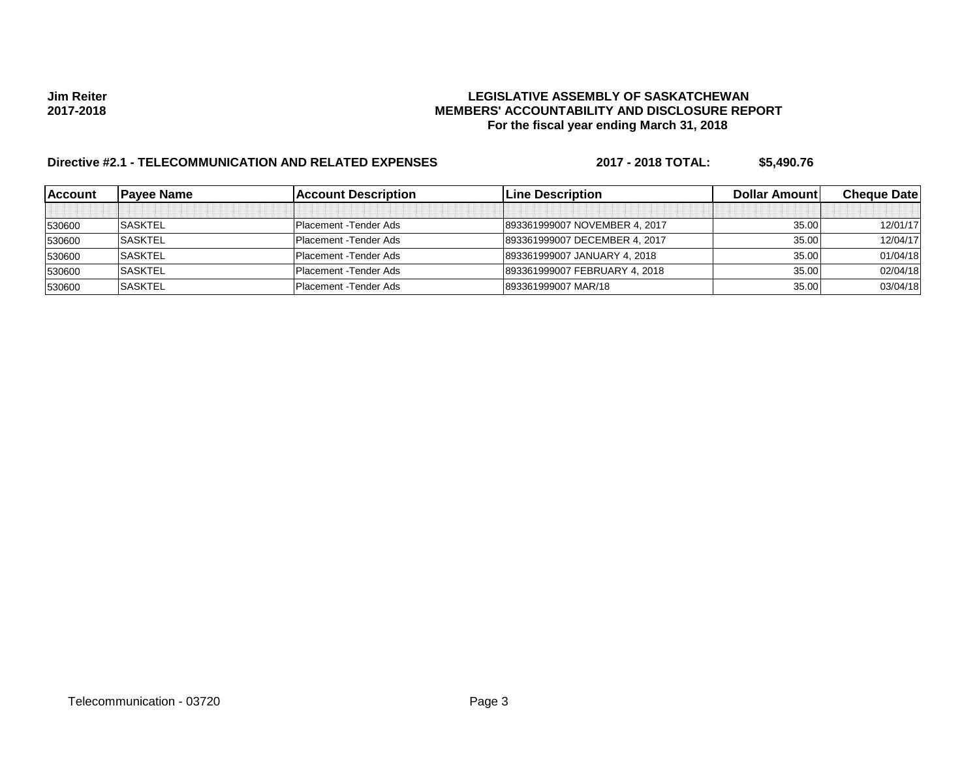### **Jim Reiter LEGISLATIVE ASSEMBLY OF SASKATCHEWAN 2017-2018 MEMBERS' ACCOUNTABILITY AND DISCLOSURE REPORT For the fiscal year ending March 31, 2018**

# **Directive #2.1 - TELECOMMUNICATION AND RELATED EXPENSES 2017 - 2018 TOTAL: \$5,490.76**

| <b>IAccount</b> | <b>Pavee Name</b> | <b>Account Description</b>    | <b>Line Description</b>       | <b>Dollar Amountl</b> | <b>Cheque Datel</b> |
|-----------------|-------------------|-------------------------------|-------------------------------|-----------------------|---------------------|
|                 |                   |                               |                               |                       |                     |
| 530600          | <b>SASKTEL</b>    | Placement - Tender Ads        | 893361999007 NOVEMBER 4, 2017 | 35.00                 | 12/01/17            |
| 530600          | <b>SASKTEL</b>    | <b>Placement</b> - Tender Ads | 893361999007 DECEMBER 4, 2017 | 35.00                 | 12/04/17            |
| 530600          | <b>SASKTEL</b>    | <b>Placement - Tender Ads</b> | 893361999007 JANUARY 4, 2018  | 35.00                 | 01/04/18            |
| 530600          | <b>ISASKTEL</b>   | <b>Placement - Tender Ads</b> | 893361999007 FEBRUARY 4, 2018 | 35.00                 | 02/04/18            |
| 530600          | <b>SASKTEL</b>    | Placement - Tender Ads        | 893361999007 MAR/18           | 35.00                 | 03/04/18            |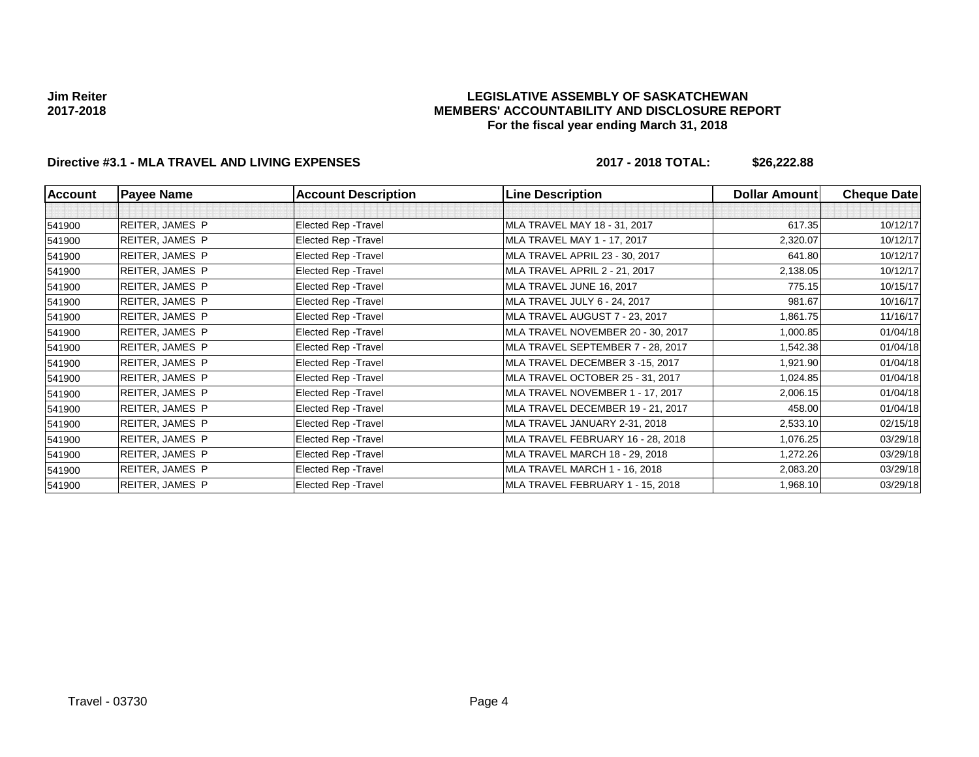### **LEGISLATIVE ASSEMBLY OF SASKATCHEWAN MEMBERS' ACCOUNTABILITY AND DISCLOSURE REPORT For the fiscal year ending March 31, 2018**

## **Directive #3.1 - MLA TRAVEL AND LIVING EXPENSES 2017 - 2018 TOTAL: \$26,222.88**

| Account | <b>Payee Name</b>      | <b>Account Description</b> | <b>Line Description</b>           | <b>Dollar Amount</b> | <b>Cheque Date</b> |
|---------|------------------------|----------------------------|-----------------------------------|----------------------|--------------------|
|         |                        |                            |                                   |                      |                    |
| 541900  | <b>REITER, JAMES P</b> | Elected Rep - Travel       | MLA TRAVEL MAY 18 - 31, 2017      | 617.35               | 10/12/17           |
| 541900  | <b>REITER, JAMES P</b> | Elected Rep - Travel       | MLA TRAVEL MAY 1 - 17, 2017       | 2,320.07             | 10/12/17           |
| 541900  | <b>REITER, JAMES P</b> | Elected Rep - Travel       | MLA TRAVEL APRIL 23 - 30, 2017    | 641.80               | 10/12/17           |
| 541900  | <b>REITER, JAMES P</b> | Elected Rep - Travel       | MLA TRAVEL APRIL 2 - 21, 2017     | 2,138.05             | 10/12/17           |
| 541900  | <b>REITER, JAMES P</b> | Elected Rep - Travel       | MLA TRAVEL JUNE 16, 2017          | 775.15               | 10/15/17           |
| 541900  | <b>REITER, JAMES P</b> | Elected Rep - Travel       | MLA TRAVEL JULY 6 - 24, 2017      | 981.67               | 10/16/17           |
| 541900  | <b>REITER, JAMES P</b> | Elected Rep - Travel       | MLA TRAVEL AUGUST 7 - 23, 2017    | 1,861.75             | 11/16/17           |
| 541900  | <b>REITER, JAMES P</b> | Elected Rep - Travel       | MLA TRAVEL NOVEMBER 20 - 30, 2017 | 1,000.85             | 01/04/18           |
| 541900  | <b>REITER, JAMES P</b> | Elected Rep - Travel       | MLA TRAVEL SEPTEMBER 7 - 28, 2017 | 1,542.38             | 01/04/18           |
| 541900  | <b>REITER, JAMES P</b> | Elected Rep - Travel       | MLA TRAVEL DECEMBER 3-15, 2017    | 1,921.90             | 01/04/18           |
| 541900  | <b>REITER, JAMES P</b> | Elected Rep - Travel       | MLA TRAVEL OCTOBER 25 - 31, 2017  | 1,024.85             | 01/04/18           |
| 541900  | <b>REITER, JAMES P</b> | Elected Rep - Travel       | MLA TRAVEL NOVEMBER 1 - 17, 2017  | 2,006.15             | 01/04/18           |
| 541900  | <b>REITER, JAMES P</b> | Elected Rep - Travel       | MLA TRAVEL DECEMBER 19 - 21, 2017 | 458.00               | 01/04/18           |
| 541900  | <b>REITER, JAMES P</b> | Elected Rep - Travel       | MLA TRAVEL JANUARY 2-31, 2018     | 2,533.10             | 02/15/18           |
| 541900  | <b>REITER, JAMES P</b> | Elected Rep - Travel       | MLA TRAVEL FEBRUARY 16 - 28, 2018 | 1,076.25             | 03/29/18           |
| 541900  | <b>REITER, JAMES P</b> | Elected Rep - Travel       | MLA TRAVEL MARCH 18 - 29, 2018    | 1,272.26             | 03/29/18           |
| 541900  | <b>REITER, JAMES P</b> | Elected Rep - Travel       | MLA TRAVEL MARCH 1 - 16, 2018     | 2,083.20             | 03/29/18           |
| 541900  | <b>REITER, JAMES P</b> | Elected Rep - Travel       | MLA TRAVEL FEBRUARY 1 - 15, 2018  | 1,968.10             | 03/29/18           |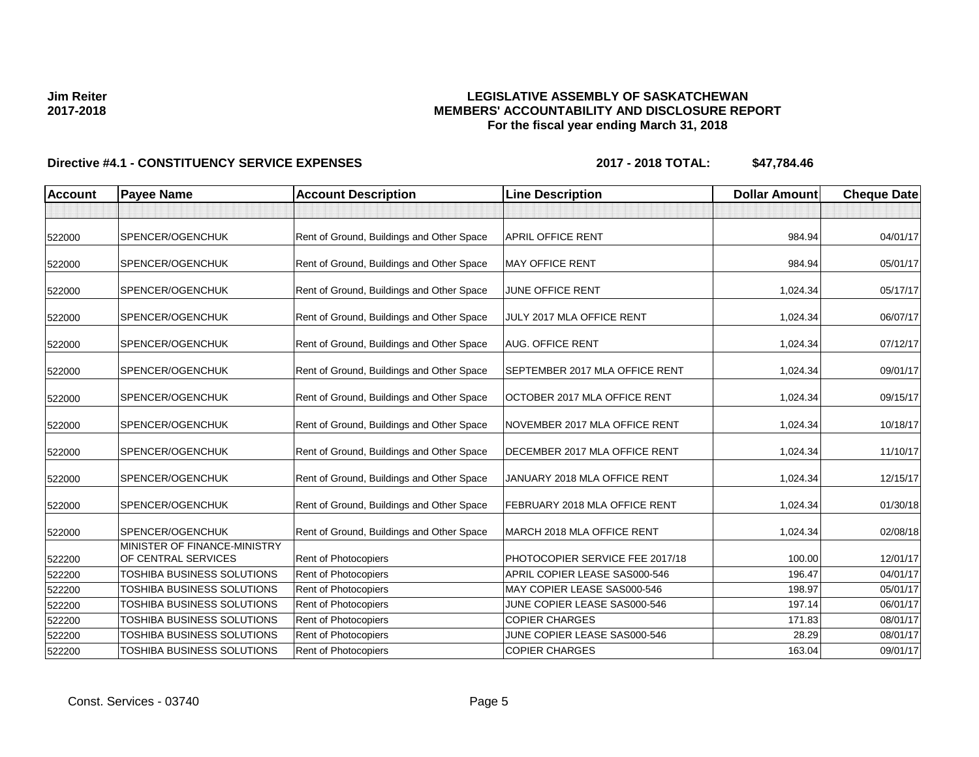### **LEGISLATIVE ASSEMBLY OF SASKATCHEWAN MEMBERS' ACCOUNTABILITY AND DISCLOSURE REPORT For the fiscal year ending March 31, 2018**

| <b>Account</b> | <b>Payee Name</b>                                | <b>Account Description</b>                | <b>Line Description</b>               | <b>Dollar Amount</b> | <b>Cheque Date</b> |
|----------------|--------------------------------------------------|-------------------------------------------|---------------------------------------|----------------------|--------------------|
|                |                                                  |                                           |                                       |                      |                    |
| 522000         | SPENCER/OGENCHUK                                 | Rent of Ground, Buildings and Other Space | APRIL OFFICE RENT                     | 984.94               | 04/01/17           |
| 522000         | SPENCER/OGENCHUK                                 | Rent of Ground, Buildings and Other Space | <b>MAY OFFICE RENT</b>                | 984.94               | 05/01/17           |
| 522000         | SPENCER/OGENCHUK                                 | Rent of Ground, Buildings and Other Space | <b>JUNE OFFICE RENT</b>               | 1,024.34             | 05/17/17           |
| 522000         | SPENCER/OGENCHUK                                 | Rent of Ground, Buildings and Other Space | JULY 2017 MLA OFFICE RENT             | 1,024.34             | 06/07/17           |
| 522000         | SPENCER/OGENCHUK                                 | Rent of Ground, Buildings and Other Space | <b>AUG. OFFICE RENT</b>               | 1,024.34             | 07/12/17           |
| 522000         | SPENCER/OGENCHUK                                 | Rent of Ground, Buildings and Other Space | <b>SEPTEMBER 2017 MLA OFFICE RENT</b> | 1,024.34             | 09/01/17           |
| 522000         | SPENCER/OGENCHUK                                 | Rent of Ground, Buildings and Other Space | OCTOBER 2017 MLA OFFICE RENT          | 1,024.34             | 09/15/17           |
| 522000         | SPENCER/OGENCHUK                                 | Rent of Ground, Buildings and Other Space | NOVEMBER 2017 MLA OFFICE RENT         | 1,024.34             | 10/18/17           |
| 522000         | SPENCER/OGENCHUK                                 | Rent of Ground, Buildings and Other Space | DECEMBER 2017 MLA OFFICE RENT         | 1,024.34             | 11/10/17           |
| 522000         | SPENCER/OGENCHUK                                 | Rent of Ground, Buildings and Other Space | JANUARY 2018 MLA OFFICE RENT          | 1,024.34             | 12/15/17           |
| 522000         | SPENCER/OGENCHUK                                 | Rent of Ground, Buildings and Other Space | FEBRUARY 2018 MLA OFFICE RENT         | 1,024.34             | 01/30/18           |
| 522000         | SPENCER/OGENCHUK<br>MINISTER OF FINANCE-MINISTRY | Rent of Ground, Buildings and Other Space | MARCH 2018 MLA OFFICE RENT            | 1,024.34             | 02/08/18           |
| 522200         | OF CENTRAL SERVICES                              | Rent of Photocopiers                      | PHOTOCOPIER SERVICE FEE 2017/18       | 100.00               | 12/01/17           |
| 522200         | TOSHIBA BUSINESS SOLUTIONS                       | Rent of Photocopiers                      | APRIL COPIER LEASE SAS000-546         | 196.47               | 04/01/17           |
| 522200         | TOSHIBA BUSINESS SOLUTIONS                       | <b>Rent of Photocopiers</b>               | MAY COPIER LEASE SAS000-546           | 198.97               | 05/01/17           |
| 522200         | TOSHIBA BUSINESS SOLUTIONS                       | Rent of Photocopiers                      | JUNE COPIER LEASE SAS000-546          | 197.14               | 06/01/17           |
| 522200         | <b>TOSHIBA BUSINESS SOLUTIONS</b>                | Rent of Photocopiers                      | <b>COPIER CHARGES</b>                 | 171.83               | 08/01/17           |
| 522200         | TOSHIBA BUSINESS SOLUTIONS                       | Rent of Photocopiers                      | JUNE COPIER LEASE SAS000-546          | 28.29                | 08/01/17           |
| 522200         | TOSHIBA BUSINESS SOLUTIONS                       | Rent of Photocopiers                      | <b>COPIER CHARGES</b>                 | 163.04               | 09/01/17           |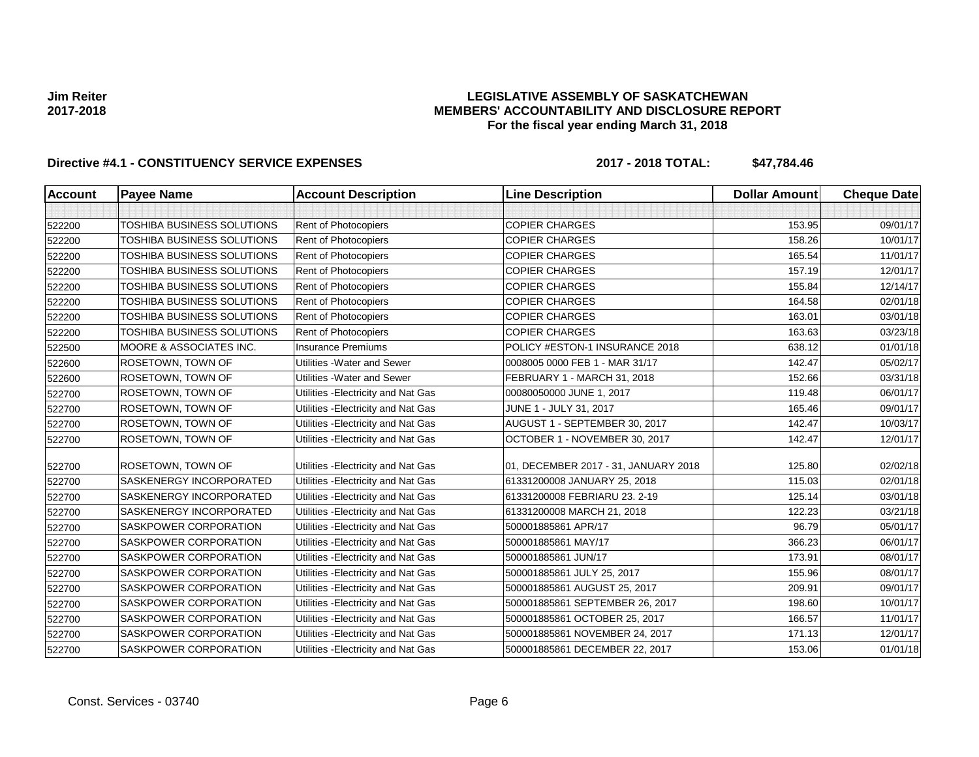### **LEGISLATIVE ASSEMBLY OF SASKATCHEWAN MEMBERS' ACCOUNTABILITY AND DISCLOSURE REPORT For the fiscal year ending March 31, 2018**

| <b>Account</b> | <b>Payee Name</b>                 | <b>Account Description</b>          | <b>Line Description</b>              | <b>Dollar Amount</b> | <b>Cheque Datel</b> |
|----------------|-----------------------------------|-------------------------------------|--------------------------------------|----------------------|---------------------|
|                |                                   |                                     |                                      |                      |                     |
| 522200         | <b>TOSHIBA BUSINESS SOLUTIONS</b> | Rent of Photocopiers                | <b>COPIER CHARGES</b>                | 153.95               | 09/01/17            |
| 522200         | TOSHIBA BUSINESS SOLUTIONS        | <b>Rent of Photocopiers</b>         | <b>COPIER CHARGES</b>                | 158.26               | 10/01/17            |
| 522200         | TOSHIBA BUSINESS SOLUTIONS        | <b>Rent of Photocopiers</b>         | <b>COPIER CHARGES</b>                | 165.54               | 11/01/17            |
| 522200         | TOSHIBA BUSINESS SOLUTIONS        | Rent of Photocopiers                | <b>COPIER CHARGES</b>                | 157.19               | 12/01/17            |
| 522200         | <b>TOSHIBA BUSINESS SOLUTIONS</b> | Rent of Photocopiers                | <b>COPIER CHARGES</b>                | 155.84               | 12/14/17            |
| 522200         | TOSHIBA BUSINESS SOLUTIONS        | Rent of Photocopiers                | <b>COPIER CHARGES</b>                | 164.58               | 02/01/18            |
| 522200         | TOSHIBA BUSINESS SOLUTIONS        | <b>Rent of Photocopiers</b>         | <b>COPIER CHARGES</b>                | 163.01               | 03/01/18            |
| 522200         | TOSHIBA BUSINESS SOLUTIONS        | Rent of Photocopiers                | <b>COPIER CHARGES</b>                | 163.63               | 03/23/18            |
| 522500         | MOORE & ASSOCIATES INC.           | <b>Insurance Premiums</b>           | POLICY #ESTON-1 INSURANCE 2018       | 638.12               | 01/01/18            |
| 522600         | ROSETOWN, TOWN OF                 | Utilities - Water and Sewer         | 0008005 0000 FEB 1 - MAR 31/17       | 142.47               | 05/02/17            |
| 522600         | ROSETOWN, TOWN OF                 | Utilities - Water and Sewer         | FEBRUARY 1 - MARCH 31, 2018          | 152.66               | 03/31/18            |
| 522700         | ROSETOWN, TOWN OF                 | Utilities - Electricity and Nat Gas | 00080050000 JUNE 1, 2017             | 119.48               | 06/01/17            |
| 522700         | ROSETOWN, TOWN OF                 | Utilities - Electricity and Nat Gas | JUNE 1 - JULY 31, 2017               | 165.46               | 09/01/17            |
| 522700         | ROSETOWN, TOWN OF                 | Utilities - Electricity and Nat Gas | AUGUST 1 - SEPTEMBER 30, 2017        | 142.47               | 10/03/17            |
| 522700         | ROSETOWN, TOWN OF                 | Utilities - Electricity and Nat Gas | OCTOBER 1 - NOVEMBER 30, 2017        | 142.47               | 12/01/17            |
| 522700         | ROSETOWN, TOWN OF                 | Utilities - Electricity and Nat Gas | 01, DECEMBER 2017 - 31, JANUARY 2018 | 125.80               | 02/02/18            |
| 522700         | SASKENERGY INCORPORATED           | Utilities - Electricity and Nat Gas | 61331200008 JANUARY 25, 2018         | 115.03               | 02/01/18            |
| 522700         | SASKENERGY INCORPORATED           | Utilities - Electricity and Nat Gas | 61331200008 FEBRIARU 23. 2-19        | 125.14               | 03/01/18            |
| 522700         | SASKENERGY INCORPORATED           | Utilities - Electricity and Nat Gas | 61331200008 MARCH 21, 2018           | 122.23               | 03/21/18            |
| 522700         | <b>SASKPOWER CORPORATION</b>      | Utilities - Electricity and Nat Gas | 500001885861 APR/17                  | 96.79                | 05/01/17            |
| 522700         | SASKPOWER CORPORATION             | Utilities - Electricity and Nat Gas | 500001885861 MAY/17                  | 366.23               | 06/01/17            |
| 522700         | SASKPOWER CORPORATION             | Utilities - Electricity and Nat Gas | 500001885861 JUN/17                  | 173.91               | 08/01/17            |
| 522700         | SASKPOWER CORPORATION             | Utilities - Electricity and Nat Gas | 500001885861 JULY 25, 2017           | 155.96               | 08/01/17            |
| 522700         | SASKPOWER CORPORATION             | Utilities - Electricity and Nat Gas | 500001885861 AUGUST 25, 2017         | 209.91               | 09/01/17            |
| 522700         | <b>SASKPOWER CORPORATION</b>      | Utilities - Electricity and Nat Gas | 500001885861 SEPTEMBER 26, 2017      | 198.60               | 10/01/17            |
| 522700         | SASKPOWER CORPORATION             | Utilities - Electricity and Nat Gas | 500001885861 OCTOBER 25, 2017        | 166.57               | 11/01/17            |
| 522700         | SASKPOWER CORPORATION             | Utilities - Electricity and Nat Gas | 500001885861 NOVEMBER 24, 2017       | 171.13               | 12/01/17            |
| 522700         | SASKPOWER CORPORATION             | Utilities - Electricity and Nat Gas | 500001885861 DECEMBER 22, 2017       | 153.06               | 01/01/18            |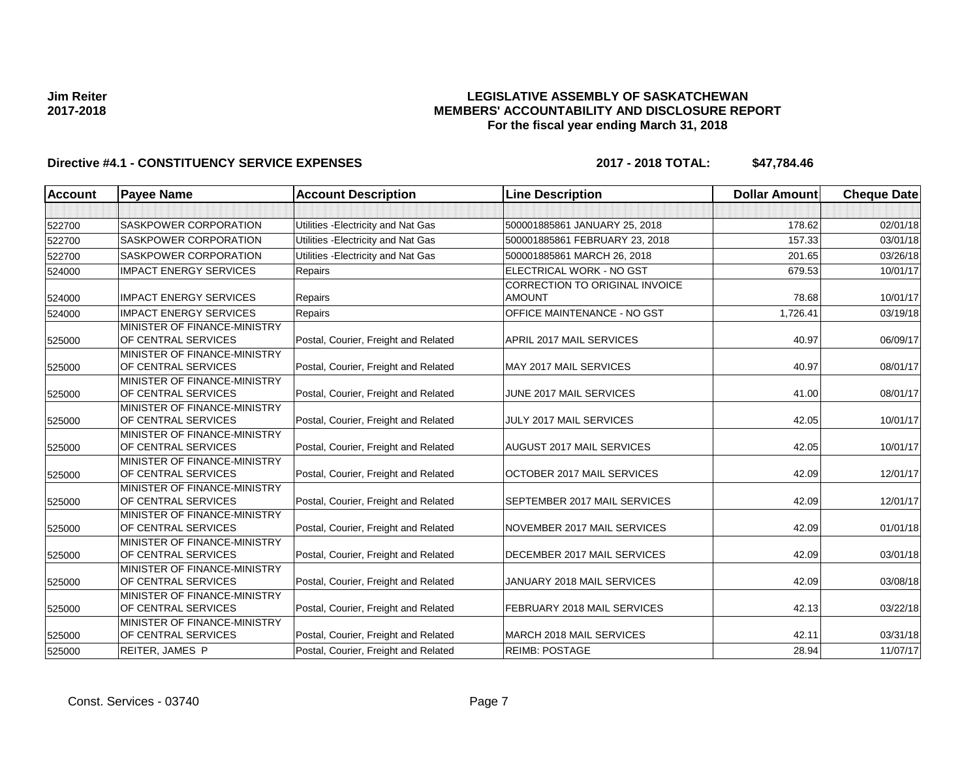### **LEGISLATIVE ASSEMBLY OF SASKATCHEWAN MEMBERS' ACCOUNTABILITY AND DISCLOSURE REPORT For the fiscal year ending March 31, 2018**

| <b>Account</b> | <b>Payee Name</b>                                   | <b>Account Description</b>           | <b>Line Description</b>                                | <b>Dollar Amount</b> | <b>Cheque Date</b> |
|----------------|-----------------------------------------------------|--------------------------------------|--------------------------------------------------------|----------------------|--------------------|
|                |                                                     |                                      |                                                        |                      |                    |
| 522700         | <b>SASKPOWER CORPORATION</b>                        | Utilities - Electricity and Nat Gas  | 500001885861 JANUARY 25, 2018                          | 178.62               | 02/01/18           |
| 522700         | <b>SASKPOWER CORPORATION</b>                        | Utilities - Electricity and Nat Gas  | 500001885861 FEBRUARY 23, 2018                         | 157.33               | 03/01/18           |
| 522700         | <b>SASKPOWER CORPORATION</b>                        | Utilities - Electricity and Nat Gas  | 500001885861 MARCH 26, 2018                            | 201.65               | 03/26/18           |
| 524000         | <b>IMPACT ENERGY SERVICES</b>                       | Repairs                              | ELECTRICAL WORK - NO GST                               | 679.53               | 10/01/17           |
| 524000         | <b>IMPACT ENERGY SERVICES</b>                       | Repairs                              | <b>CORRECTION TO ORIGINAL INVOICE</b><br><b>AMOUNT</b> | 78.68                | 10/01/17           |
| 524000         | <b>IMPACT ENERGY SERVICES</b>                       | Repairs                              | OFFICE MAINTENANCE - NO GST                            | 1,726.41             | 03/19/18           |
| 525000         | MINISTER OF FINANCE-MINISTRY<br>OF CENTRAL SERVICES | Postal, Courier, Freight and Related | APRIL 2017 MAIL SERVICES                               | 40.97                | 06/09/17           |
| 525000         | MINISTER OF FINANCE-MINISTRY<br>OF CENTRAL SERVICES | Postal, Courier, Freight and Related | MAY 2017 MAIL SERVICES                                 | 40.97                | 08/01/17           |
| 525000         | MINISTER OF FINANCE-MINISTRY<br>OF CENTRAL SERVICES | Postal, Courier, Freight and Related | JUNE 2017 MAIL SERVICES                                | 41.00                | 08/01/17           |
| 525000         | MINISTER OF FINANCE-MINISTRY<br>OF CENTRAL SERVICES | Postal, Courier, Freight and Related | JULY 2017 MAIL SERVICES                                | 42.05                | 10/01/17           |
| 525000         | MINISTER OF FINANCE-MINISTRY<br>OF CENTRAL SERVICES | Postal, Courier, Freight and Related | AUGUST 2017 MAIL SERVICES                              | 42.05                | 10/01/17           |
| 525000         | MINISTER OF FINANCE-MINISTRY<br>OF CENTRAL SERVICES | Postal, Courier, Freight and Related | OCTOBER 2017 MAIL SERVICES                             | 42.09                | 12/01/17           |
| 525000         | MINISTER OF FINANCE-MINISTRY<br>OF CENTRAL SERVICES | Postal, Courier, Freight and Related | SEPTEMBER 2017 MAIL SERVICES                           | 42.09                | 12/01/17           |
| 525000         | MINISTER OF FINANCE-MINISTRY<br>OF CENTRAL SERVICES | Postal, Courier, Freight and Related | NOVEMBER 2017 MAIL SERVICES                            | 42.09                | 01/01/18           |
| 525000         | MINISTER OF FINANCE-MINISTRY<br>OF CENTRAL SERVICES | Postal, Courier, Freight and Related | DECEMBER 2017 MAIL SERVICES                            | 42.09                | 03/01/18           |
| 525000         | MINISTER OF FINANCE-MINISTRY<br>OF CENTRAL SERVICES | Postal, Courier, Freight and Related | JANUARY 2018 MAIL SERVICES                             | 42.09                | 03/08/18           |
| 525000         | MINISTER OF FINANCE-MINISTRY<br>OF CENTRAL SERVICES | Postal, Courier, Freight and Related | FEBRUARY 2018 MAIL SERVICES                            | 42.13                | 03/22/18           |
| 525000         | MINISTER OF FINANCE-MINISTRY<br>OF CENTRAL SERVICES | Postal, Courier, Freight and Related | MARCH 2018 MAIL SERVICES                               | 42.11                | 03/31/18           |
| 525000         | REITER, JAMES P                                     | Postal, Courier, Freight and Related | <b>REIMB: POSTAGE</b>                                  | 28.94                | 11/07/17           |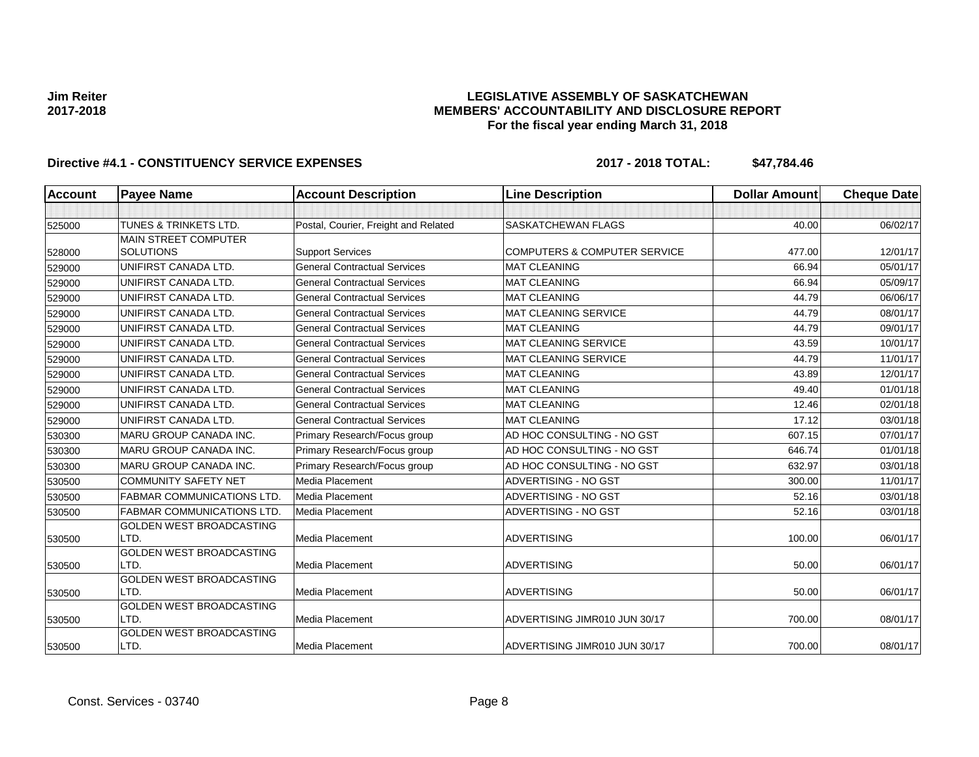### **LEGISLATIVE ASSEMBLY OF SASKATCHEWAN MEMBERS' ACCOUNTABILITY AND DISCLOSURE REPORT For the fiscal year ending March 31, 2018**

| <b>Account</b> | <b>Payee Name</b>                       | <b>Account Description</b>           | <b>Line Description</b>                 | <b>Dollar Amount</b> | <b>Cheque Date</b> |
|----------------|-----------------------------------------|--------------------------------------|-----------------------------------------|----------------------|--------------------|
|                |                                         |                                      |                                         |                      |                    |
| 525000         | <b>TUNES &amp; TRINKETS LTD.</b>        | Postal, Courier, Freight and Related | <b>SASKATCHEWAN FLAGS</b>               | 40.00                | 06/02/17           |
|                | <b>MAIN STREET COMPUTER</b>             |                                      |                                         |                      |                    |
| 528000         | <b>SOLUTIONS</b>                        | <b>Support Services</b>              | <b>COMPUTERS &amp; COMPUTER SERVICE</b> | 477.00               | 12/01/17           |
| 529000         | UNIFIRST CANADA LTD.                    | <b>General Contractual Services</b>  | <b>MAT CLEANING</b>                     | 66.94                | 05/01/17           |
| 529000         | UNIFIRST CANADA LTD.                    | <b>General Contractual Services</b>  | <b>MAT CLEANING</b>                     | 66.94                | 05/09/17           |
| 529000         | UNIFIRST CANADA LTD.                    | <b>General Contractual Services</b>  | <b>MAT CLEANING</b>                     | 44.79                | 06/06/17           |
| 529000         | UNIFIRST CANADA LTD.                    | <b>General Contractual Services</b>  | <b>MAT CLEANING SERVICE</b>             | 44.79                | 08/01/17           |
| 529000         | UNIFIRST CANADA LTD.                    | <b>General Contractual Services</b>  | <b>MAT CLEANING</b>                     | 44.79                | 09/01/17           |
| 529000         | UNIFIRST CANADA LTD.                    | <b>General Contractual Services</b>  | <b>MAT CLEANING SERVICE</b>             | 43.59                | 10/01/17           |
| 529000         | UNIFIRST CANADA LTD.                    | <b>General Contractual Services</b>  | <b>MAT CLEANING SERVICE</b>             | 44.79                | 11/01/17           |
| 529000         | UNIFIRST CANADA LTD.                    | <b>General Contractual Services</b>  | <b>MAT CLEANING</b>                     | 43.89                | 12/01/17           |
| 529000         | UNIFIRST CANADA LTD.                    | <b>General Contractual Services</b>  | <b>MAT CLEANING</b>                     | 49.40                | 01/01/18           |
| 529000         | UNIFIRST CANADA LTD.                    | <b>General Contractual Services</b>  | <b>MAT CLEANING</b>                     | 12.46                | 02/01/18           |
| 529000         | UNIFIRST CANADA LTD.                    | <b>General Contractual Services</b>  | <b>MAT CLEANING</b>                     | 17.12                | 03/01/18           |
| 530300         | <b>MARU GROUP CANADA INC.</b>           | Primary Research/Focus group         | AD HOC CONSULTING - NO GST              | 607.15               | 07/01/17           |
| 530300         | <b>MARU GROUP CANADA INC.</b>           | Primary Research/Focus group         | AD HOC CONSULTING - NO GST              | 646.74               | 01/01/18           |
| 530300         | <b>MARU GROUP CANADA INC.</b>           | Primary Research/Focus group         | AD HOC CONSULTING - NO GST              | 632.97               | 03/01/18           |
| 530500         | <b>COMMUNITY SAFETY NET</b>             | Media Placement                      | ADVERTISING - NO GST                    | 300.00               | 11/01/17           |
| 530500         | <b>FABMAR COMMUNICATIONS LTD.</b>       | Media Placement                      | ADVERTISING - NO GST                    | 52.16                | 03/01/18           |
| 530500         | <b>FABMAR COMMUNICATIONS LTD</b>        | Media Placement                      | ADVERTISING - NO GST                    | 52.16                | 03/01/18           |
|                | <b>GOLDEN WEST BROADCASTING</b>         |                                      |                                         |                      |                    |
| 530500         | LTD.                                    | <b>Media Placement</b>               | <b>ADVERTISING</b>                      | 100.00               | 06/01/17           |
|                | <b>GOLDEN WEST BROADCASTING</b>         |                                      |                                         |                      |                    |
| 530500         | LTD.                                    | Media Placement                      | <b>ADVERTISING</b>                      | 50.00                | 06/01/17           |
|                | GOLDEN WEST BROADCASTING                |                                      |                                         |                      |                    |
| 530500         | LTD.                                    | <b>Media Placement</b>               | <b>ADVERTISING</b>                      | 50.00                | 06/01/17           |
|                | <b>GOLDEN WEST BROADCASTING</b>         |                                      |                                         |                      |                    |
| 530500         | LTD.                                    | <b>Media Placement</b>               | ADVERTISING JIMR010 JUN 30/17           | 700.00               | 08/01/17           |
| 530500         | <b>GOLDEN WEST BROADCASTING</b><br>LTD. | <b>Media Placement</b>               | ADVERTISING JIMR010 JUN 30/17           | 700.00               | 08/01/17           |
|                |                                         |                                      |                                         |                      |                    |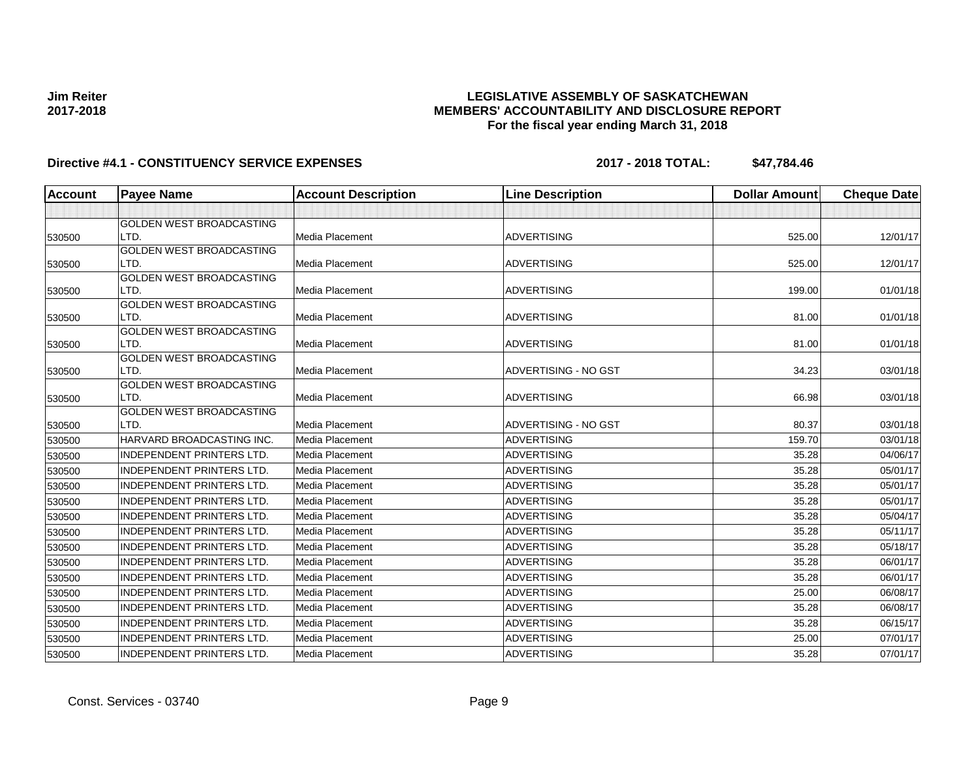### **LEGISLATIVE ASSEMBLY OF SASKATCHEWAN MEMBERS' ACCOUNTABILITY AND DISCLOSURE REPORT For the fiscal year ending March 31, 2018**

| <b>Account</b> | <b>Payee Name</b>                       | <b>Account Description</b> | <b>Line Description</b> | <b>Dollar Amount</b> | <b>Cheque Date</b> |
|----------------|-----------------------------------------|----------------------------|-------------------------|----------------------|--------------------|
|                |                                         |                            |                         |                      |                    |
|                | <b>GOLDEN WEST BROADCASTING</b>         |                            |                         |                      |                    |
| 530500         | LTD.                                    | Media Placement            | <b>ADVERTISING</b>      | 525.00               | 12/01/17           |
|                | <b>GOLDEN WEST BROADCASTING</b>         |                            |                         |                      |                    |
| 530500         | LTD.                                    | Media Placement            | <b>ADVERTISING</b>      | 525.00               | 12/01/17           |
|                | <b>GOLDEN WEST BROADCASTING</b>         |                            |                         |                      |                    |
| 530500         | LTD.<br><b>GOLDEN WEST BROADCASTING</b> | <b>Media Placement</b>     | <b>ADVERTISING</b>      | 199.00               | 01/01/18           |
| 530500         | LTD.                                    | <b>Media Placement</b>     | <b>ADVERTISING</b>      | 81.00                | 01/01/18           |
|                | <b>GOLDEN WEST BROADCASTING</b>         |                            |                         |                      |                    |
| 530500         | LTD.                                    | Media Placement            | <b>ADVERTISING</b>      | 81.00                | 01/01/18           |
|                | <b>GOLDEN WEST BROADCASTING</b>         |                            |                         |                      |                    |
| 530500         | LTD.                                    | <b>Media Placement</b>     | ADVERTISING - NO GST    | 34.23                | 03/01/18           |
|                | <b>GOLDEN WEST BROADCASTING</b>         |                            |                         |                      |                    |
| 530500         | LTD.                                    | Media Placement            | <b>ADVERTISING</b>      | 66.98                | 03/01/18           |
|                | <b>GOLDEN WEST BROADCASTING</b>         |                            |                         |                      |                    |
| 530500         | LTD.                                    | <b>Media Placement</b>     | ADVERTISING - NO GST    | 80.37                | 03/01/18           |
| 530500         | HARVARD BROADCASTING INC.               | Media Placement            | <b>ADVERTISING</b>      | 159.70               | 03/01/18           |
| 530500         | <b>INDEPENDENT PRINTERS LTD.</b>        | Media Placement            | <b>ADVERTISING</b>      | 35.28                | 04/06/17           |
| 530500         | <b>INDEPENDENT PRINTERS LTD.</b>        | <b>Media Placement</b>     | <b>ADVERTISING</b>      | 35.28                | 05/01/17           |
| 530500         | <b>INDEPENDENT PRINTERS LTD.</b>        | Media Placement            | <b>ADVERTISING</b>      | 35.28                | 05/01/17           |
| 530500         | <b>INDEPENDENT PRINTERS LTD.</b>        | Media Placement            | <b>ADVERTISING</b>      | 35.28                | 05/01/17           |
| 530500         | <b>INDEPENDENT PRINTERS LTD.</b>        | Media Placement            | <b>ADVERTISING</b>      | 35.28                | 05/04/17           |
| 530500         | <b>INDEPENDENT PRINTERS LTD.</b>        | Media Placement            | <b>ADVERTISING</b>      | 35.28                | 05/11/17           |
| 530500         | <b>INDEPENDENT PRINTERS LTD.</b>        | <b>Media Placement</b>     | <b>ADVERTISING</b>      | 35.28                | 05/18/17           |
| 530500         | <b>INDEPENDENT PRINTERS LTD.</b>        | Media Placement            | <b>ADVERTISING</b>      | 35.28                | 06/01/17           |
| 530500         | <b>INDEPENDENT PRINTERS LTD.</b>        | Media Placement            | <b>ADVERTISING</b>      | 35.28                | 06/01/17           |
| 530500         | <b>INDEPENDENT PRINTERS LTD.</b>        | <b>Media Placement</b>     | <b>ADVERTISING</b>      | 25.00                | 06/08/17           |
| 530500         | <b>INDEPENDENT PRINTERS LTD.</b>        | Media Placement            | <b>ADVERTISING</b>      | 35.28                | 06/08/17           |
| 530500         | <b>INDEPENDENT PRINTERS LTD.</b>        | Media Placement            | <b>ADVERTISING</b>      | 35.28                | 06/15/17           |
| 530500         | <b>INDEPENDENT PRINTERS LTD.</b>        | Media Placement            | <b>ADVERTISING</b>      | 25.00                | 07/01/17           |
| 530500         | <b>INDEPENDENT PRINTERS LTD.</b>        | Media Placement            | <b>ADVERTISING</b>      | 35.28                | 07/01/17           |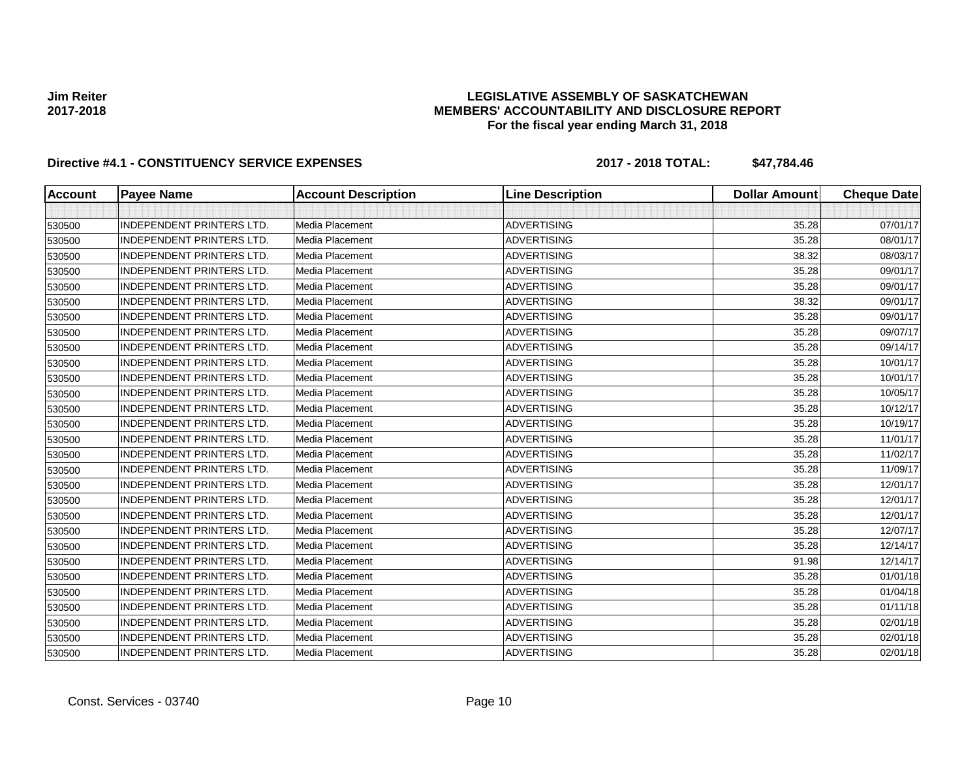### **LEGISLATIVE ASSEMBLY OF SASKATCHEWAN MEMBERS' ACCOUNTABILITY AND DISCLOSURE REPORT For the fiscal year ending March 31, 2018**

| <b>Account</b> | <b>Payee Name</b>                | <b>Account Description</b> | <b>Line Description</b> | <b>Dollar Amount</b> | <b>Cheque Date</b> |
|----------------|----------------------------------|----------------------------|-------------------------|----------------------|--------------------|
|                |                                  |                            |                         |                      |                    |
| 530500         | <b>INDEPENDENT PRINTERS LTD.</b> | <b>Media Placement</b>     | <b>ADVERTISING</b>      | 35.28                | 07/01/17           |
| 530500         | <b>INDEPENDENT PRINTERS LTD.</b> | Media Placement            | <b>ADVERTISING</b>      | 35.28                | 08/01/17           |
| 530500         | <b>INDEPENDENT PRINTERS LTD.</b> | Media Placement            | <b>ADVERTISING</b>      | 38.32                | 08/03/17           |
| 530500         | <b>INDEPENDENT PRINTERS LTD.</b> | Media Placement            | <b>ADVERTISING</b>      | 35.28                | 09/01/17           |
| 530500         | <b>INDEPENDENT PRINTERS LTD.</b> | Media Placement            | <b>ADVERTISING</b>      | 35.28                | 09/01/17           |
| 530500         | <b>INDEPENDENT PRINTERS LTD.</b> | Media Placement            | <b>ADVERTISING</b>      | 38.32                | 09/01/17           |
| 530500         | <b>INDEPENDENT PRINTERS LTD.</b> | Media Placement            | <b>ADVERTISING</b>      | 35.28                | 09/01/17           |
| 530500         | <b>INDEPENDENT PRINTERS LTD.</b> | Media Placement            | <b>ADVERTISING</b>      | 35.28                | 09/07/17           |
| 530500         | <b>INDEPENDENT PRINTERS LTD.</b> | Media Placement            | <b>ADVERTISING</b>      | 35.28                | 09/14/17           |
| 530500         | <b>INDEPENDENT PRINTERS LTD.</b> | Media Placement            | <b>ADVERTISING</b>      | 35.28                | 10/01/17           |
| 530500         | <b>INDEPENDENT PRINTERS LTD.</b> | Media Placement            | <b>ADVERTISING</b>      | 35.28                | 10/01/17           |
| 530500         | <b>INDEPENDENT PRINTERS LTD.</b> | Media Placement            | <b>ADVERTISING</b>      | 35.28                | 10/05/17           |
| 530500         | <b>INDEPENDENT PRINTERS LTD.</b> | Media Placement            | ADVERTISING             | 35.28                | 10/12/17           |
| 530500         | <b>INDEPENDENT PRINTERS LTD.</b> | Media Placement            | <b>ADVERTISING</b>      | 35.28                | 10/19/17           |
| 530500         | <b>INDEPENDENT PRINTERS LTD.</b> | Media Placement            | <b>ADVERTISING</b>      | 35.28                | 11/01/17           |
| 530500         | <b>INDEPENDENT PRINTERS LTD.</b> | Media Placement            | <b>ADVERTISING</b>      | 35.28                | 11/02/17           |
| 530500         | <b>INDEPENDENT PRINTERS LTD.</b> | Media Placement            | <b>ADVERTISING</b>      | 35.28                | 11/09/17           |
| 530500         | <b>INDEPENDENT PRINTERS LTD.</b> | Media Placement            | <b>ADVERTISING</b>      | 35.28                | 12/01/17           |
| 530500         | INDEPENDENT PRINTERS LTD.        | Media Placement            | <b>ADVERTISING</b>      | 35.28                | 12/01/17           |
| 530500         | INDEPENDENT PRINTERS LTD.        | Media Placement            | <b>ADVERTISING</b>      | 35.28                | 12/01/17           |
| 530500         | INDEPENDENT PRINTERS LTD.        | Media Placement            | <b>ADVERTISING</b>      | 35.28                | 12/07/17           |
| 530500         | <b>INDEPENDENT PRINTERS LTD.</b> | Media Placement            | <b>ADVERTISING</b>      | 35.28                | 12/14/17           |
| 530500         | <b>INDEPENDENT PRINTERS LTD.</b> | Media Placement            | <b>ADVERTISING</b>      | 91.98                | 12/14/17           |
| 530500         | <b>INDEPENDENT PRINTERS LTD.</b> | <b>Media Placement</b>     | <b>ADVERTISING</b>      | 35.28                | 01/01/18           |
| 530500         | <b>INDEPENDENT PRINTERS LTD.</b> | <b>Media Placement</b>     | <b>ADVERTISING</b>      | 35.28                | 01/04/18           |
| 530500         | <b>INDEPENDENT PRINTERS LTD.</b> | Media Placement            | <b>ADVERTISING</b>      | 35.28                | 01/11/18           |
| 530500         | <b>INDEPENDENT PRINTERS LTD.</b> | Media Placement            | <b>ADVERTISING</b>      | 35.28                | 02/01/18           |
| 530500         | <b>INDEPENDENT PRINTERS LTD.</b> | Media Placement            | <b>ADVERTISING</b>      | 35.28                | 02/01/18           |
| 530500         | <b>INDEPENDENT PRINTERS LTD.</b> | Media Placement            | <b>ADVERTISING</b>      | 35.28                | 02/01/18           |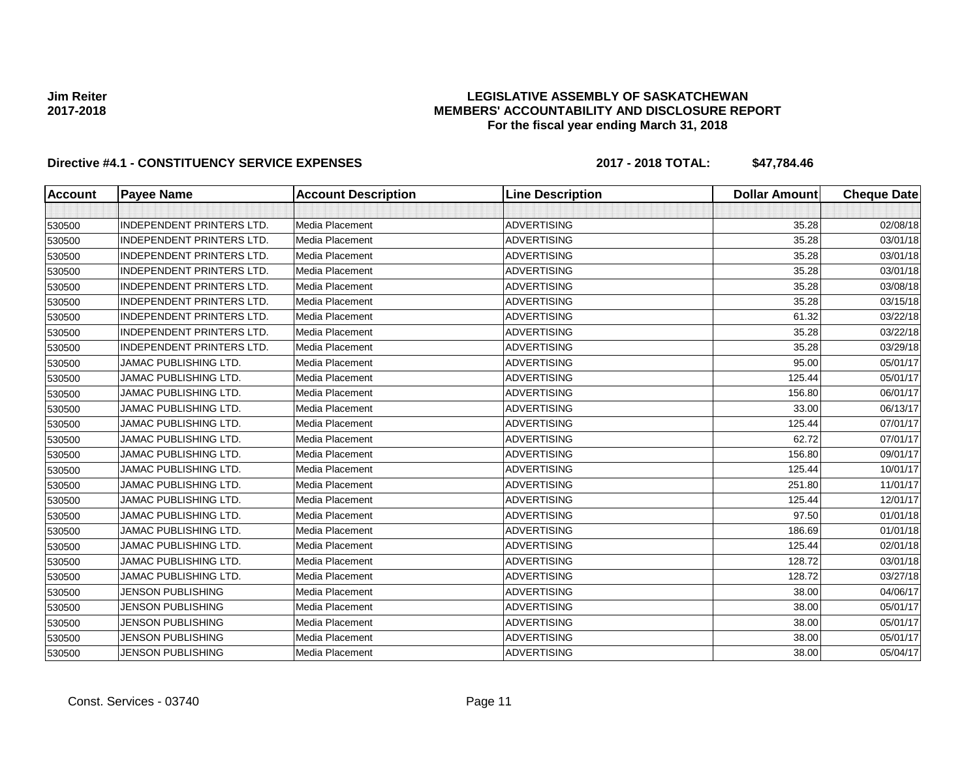### **LEGISLATIVE ASSEMBLY OF SASKATCHEWAN MEMBERS' ACCOUNTABILITY AND DISCLOSURE REPORT For the fiscal year ending March 31, 2018**

| <b>Account</b> | <b>Payee Name</b>                | <b>Account Description</b> | <b>Line Description</b> | <b>Dollar Amount</b> | <b>Cheque Date</b> |
|----------------|----------------------------------|----------------------------|-------------------------|----------------------|--------------------|
|                |                                  |                            |                         |                      |                    |
| 530500         | <b>INDEPENDENT PRINTERS LTD.</b> | <b>Media Placement</b>     | <b>ADVERTISING</b>      | 35.28                | 02/08/18           |
| 530500         | <b>INDEPENDENT PRINTERS LTD.</b> | Media Placement            | <b>ADVERTISING</b>      | 35.28                | 03/01/18           |
| 530500         | <b>INDEPENDENT PRINTERS LTD.</b> | <b>Media Placement</b>     | <b>ADVERTISING</b>      | 35.28                | 03/01/18           |
| 530500         | <b>INDEPENDENT PRINTERS LTD.</b> | Media Placement            | <b>ADVERTISING</b>      | 35.28                | 03/01/18           |
| 530500         | <b>INDEPENDENT PRINTERS LTD.</b> | Media Placement            | <b>ADVERTISING</b>      | 35.28                | 03/08/18           |
| 530500         | <b>INDEPENDENT PRINTERS LTD.</b> | Media Placement            | <b>ADVERTISING</b>      | 35.28                | 03/15/18           |
| 530500         | <b>INDEPENDENT PRINTERS LTD.</b> | Media Placement            | <b>ADVERTISING</b>      | 61.32                | 03/22/18           |
| 530500         | <b>INDEPENDENT PRINTERS LTD.</b> | Media Placement            | <b>ADVERTISING</b>      | 35.28                | 03/22/18           |
| 530500         | <b>INDEPENDENT PRINTERS LTD.</b> | Media Placement            | <b>ADVERTISING</b>      | 35.28                | 03/29/18           |
| 530500         | <b>JAMAC PUBLISHING LTD.</b>     | Media Placement            | <b>ADVERTISING</b>      | 95.00                | 05/01/17           |
| 530500         | JAMAC PUBLISHING LTD.            | Media Placement            | <b>ADVERTISING</b>      | 125.44               | 05/01/17           |
| 530500         | JAMAC PUBLISHING LTD.            | Media Placement            | <b>ADVERTISING</b>      | 156.80               | 06/01/17           |
| 530500         | <b>JAMAC PUBLISHING LTD.</b>     | Media Placement            | <b>ADVERTISING</b>      | 33.00                | 06/13/17           |
| 530500         | <b>JAMAC PUBLISHING LTD.</b>     | Media Placement            | <b>ADVERTISING</b>      | 125.44               | 07/01/17           |
| 530500         | <b>JAMAC PUBLISHING LTD.</b>     | Media Placement            | <b>ADVERTISING</b>      | 62.72                | 07/01/17           |
| 530500         | <b>JAMAC PUBLISHING LTD.</b>     | Media Placement            | <b>ADVERTISING</b>      | 156.80               | 09/01/17           |
| 530500         | <b>JAMAC PUBLISHING LTD.</b>     | Media Placement            | <b>ADVERTISING</b>      | 125.44               | 10/01/17           |
| 530500         | <b>JAMAC PUBLISHING LTD.</b>     | Media Placement            | <b>ADVERTISING</b>      | 251.80               | 11/01/17           |
| 530500         | <b>JAMAC PUBLISHING LTD.</b>     | Media Placement            | <b>ADVERTISING</b>      | 125.44               | 12/01/17           |
| 530500         | <b>JAMAC PUBLISHING LTD.</b>     | Media Placement            | <b>ADVERTISING</b>      | 97.50                | 01/01/18           |
| 530500         | <b>JAMAC PUBLISHING LTD.</b>     | Media Placement            | <b>ADVERTISING</b>      | 186.69               | 01/01/18           |
| 530500         | <b>JAMAC PUBLISHING LTD.</b>     | Media Placement            | <b>ADVERTISING</b>      | 125.44               | 02/01/18           |
| 530500         | <b>JAMAC PUBLISHING LTD.</b>     | Media Placement            | <b>ADVERTISING</b>      | 128.72               | 03/01/18           |
| 530500         | JAMAC PUBLISHING LTD.            | Media Placement            | <b>ADVERTISING</b>      | 128.72               | 03/27/18           |
| 530500         | <b>JENSON PUBLISHING</b>         | Media Placement            | <b>ADVERTISING</b>      | 38.00                | 04/06/17           |
| 530500         | <b>JENSON PUBLISHING</b>         | Media Placement            | <b>ADVERTISING</b>      | 38.00                | 05/01/17           |
| 530500         | <b>JENSON PUBLISHING</b>         | Media Placement            | <b>ADVERTISING</b>      | 38.00                | 05/01/17           |
| 530500         | <b>JENSON PUBLISHING</b>         | Media Placement            | <b>ADVERTISING</b>      | 38.00                | 05/01/17           |
| 530500         | <b>JENSON PUBLISHING</b>         | Media Placement            | <b>ADVERTISING</b>      | 38.00                | 05/04/17           |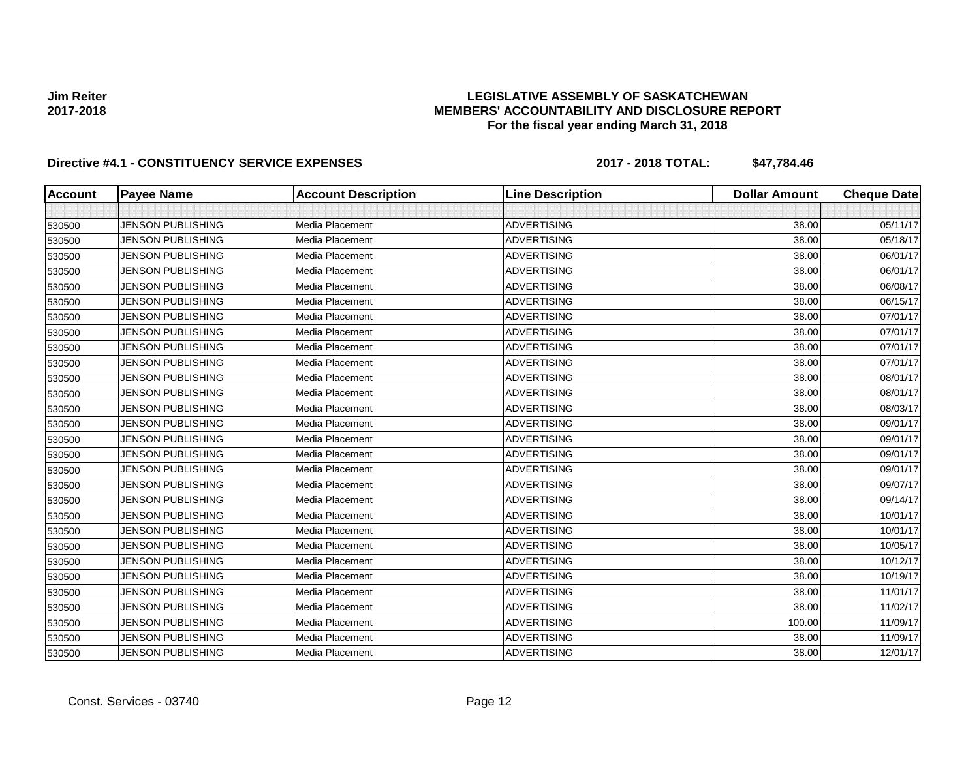### **LEGISLATIVE ASSEMBLY OF SASKATCHEWAN MEMBERS' ACCOUNTABILITY AND DISCLOSURE REPORT For the fiscal year ending March 31, 2018**

| <b>Account</b> | <b>Payee Name</b>        | <b>Account Description</b> | <b>Line Description</b> | <b>Dollar Amount</b> | <b>Cheque Date</b> |
|----------------|--------------------------|----------------------------|-------------------------|----------------------|--------------------|
|                |                          |                            |                         |                      |                    |
| 530500         | <b>JENSON PUBLISHING</b> | Media Placement            | <b>ADVERTISING</b>      | 38.00                | 05/11/17           |
| 530500         | <b>JENSON PUBLISHING</b> | Media Placement            | <b>ADVERTISING</b>      | 38.00                | 05/18/17           |
| 530500         | <b>JENSON PUBLISHING</b> | Media Placement            | <b>ADVERTISING</b>      | 38.00                | 06/01/17           |
| 530500         | <b>JENSON PUBLISHING</b> | Media Placement            | <b>ADVERTISING</b>      | 38.00                | 06/01/17           |
| 530500         | <b>JENSON PUBLISHING</b> | Media Placement            | <b>ADVERTISING</b>      | 38.00                | 06/08/17           |
| 530500         | <b>JENSON PUBLISHING</b> | Media Placement            | <b>ADVERTISING</b>      | 38.00                | 06/15/17           |
| 530500         | <b>JENSON PUBLISHING</b> | Media Placement            | <b>ADVERTISING</b>      | 38.00                | 07/01/17           |
| 530500         | <b>JENSON PUBLISHING</b> | Media Placement            | <b>ADVERTISING</b>      | 38.00                | 07/01/17           |
| 530500         | <b>JENSON PUBLISHING</b> | Media Placement            | <b>ADVERTISING</b>      | 38.00                | 07/01/17           |
| 530500         | <b>JENSON PUBLISHING</b> | Media Placement            | <b>ADVERTISING</b>      | 38.00                | 07/01/17           |
| 530500         | <b>JENSON PUBLISHING</b> | Media Placement            | <b>ADVERTISING</b>      | 38.00                | 08/01/17           |
| 530500         | <b>JENSON PUBLISHING</b> | Media Placement            | <b>ADVERTISING</b>      | 38.00                | 08/01/17           |
| 530500         | <b>JENSON PUBLISHING</b> | Media Placement            | <b>ADVERTISING</b>      | 38.00                | 08/03/17           |
| 530500         | <b>JENSON PUBLISHING</b> | Media Placement            | <b>ADVERTISING</b>      | 38.00                | 09/01/17           |
| 530500         | <b>JENSON PUBLISHING</b> | Media Placement            | <b>ADVERTISING</b>      | 38.00                | 09/01/17           |
| 530500         | <b>JENSON PUBLISHING</b> | Media Placement            | <b>ADVERTISING</b>      | 38.00                | 09/01/17           |
| 530500         | <b>JENSON PUBLISHING</b> | Media Placement            | <b>ADVERTISING</b>      | 38.00                | 09/01/17           |
| 530500         | <b>JENSON PUBLISHING</b> | Media Placement            | <b>ADVERTISING</b>      | 38.00                | 09/07/17           |
| 530500         | <b>JENSON PUBLISHING</b> | Media Placement            | <b>ADVERTISING</b>      | 38.00                | 09/14/17           |
| 530500         | <b>JENSON PUBLISHING</b> | Media Placement            | <b>ADVERTISING</b>      | 38.00                | 10/01/17           |
| 530500         | <b>JENSON PUBLISHING</b> | Media Placement            | <b>ADVERTISING</b>      | 38.00                | 10/01/17           |
| 530500         | <b>JENSON PUBLISHING</b> | Media Placement            | <b>ADVERTISING</b>      | 38.00                | 10/05/17           |
| 530500         | <b>JENSON PUBLISHING</b> | Media Placement            | <b>ADVERTISING</b>      | 38.00                | 10/12/17           |
| 530500         | <b>JENSON PUBLISHING</b> | Media Placement            | <b>ADVERTISING</b>      | 38.00                | 10/19/17           |
| 530500         | <b>JENSON PUBLISHING</b> | Media Placement            | <b>ADVERTISING</b>      | 38.00                | 11/01/17           |
| 530500         | <b>JENSON PUBLISHING</b> | Media Placement            | <b>ADVERTISING</b>      | 38.00                | 11/02/17           |
| 530500         | <b>JENSON PUBLISHING</b> | Media Placement            | <b>ADVERTISING</b>      | 100.00               | 11/09/17           |
| 530500         | <b>JENSON PUBLISHING</b> | Media Placement            | <b>ADVERTISING</b>      | 38.00                | 11/09/17           |
| 530500         | <b>JENSON PUBLISHING</b> | Media Placement            | <b>ADVERTISING</b>      | 38.00                | 12/01/17           |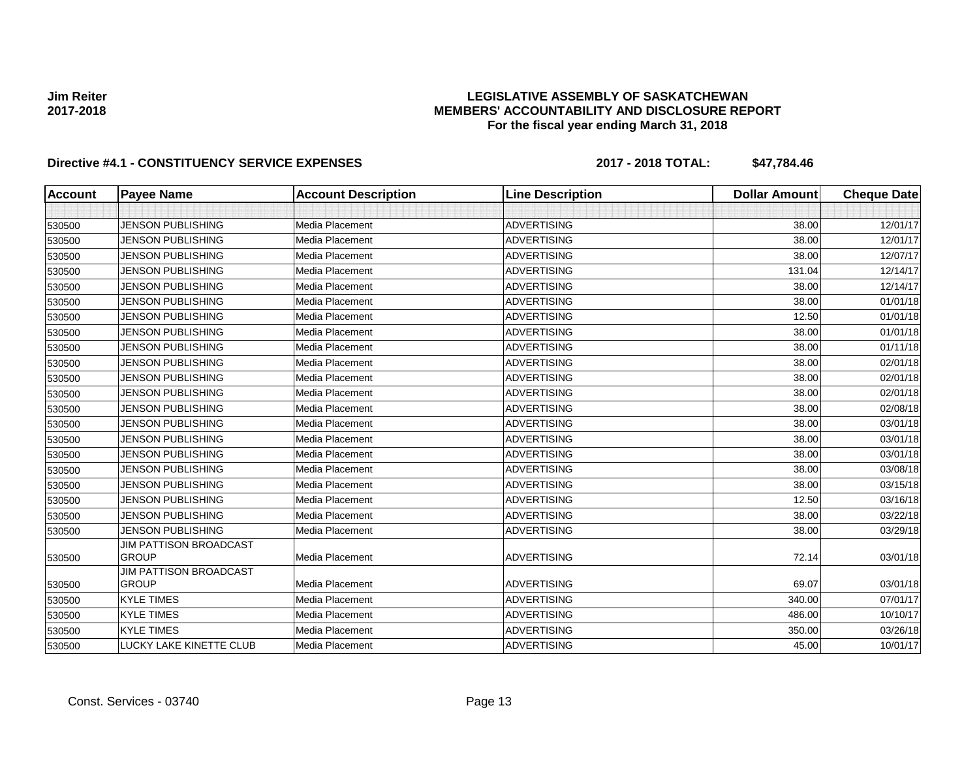### **LEGISLATIVE ASSEMBLY OF SASKATCHEWAN MEMBERS' ACCOUNTABILITY AND DISCLOSURE REPORT For the fiscal year ending March 31, 2018**

| <b>Account</b> | <b>Payee Name</b>                             | <b>Account Description</b> | <b>Line Description</b> | <b>Dollar Amount</b> | <b>Cheque Date</b> |
|----------------|-----------------------------------------------|----------------------------|-------------------------|----------------------|--------------------|
|                |                                               |                            |                         |                      |                    |
| 530500         | <b>JENSON PUBLISHING</b>                      | Media Placement            | <b>ADVERTISING</b>      | 38.00                | 12/01/17           |
| 530500         | <b>JENSON PUBLISHING</b>                      | Media Placement            | <b>ADVERTISING</b>      | 38.00                | 12/01/17           |
| 530500         | <b>JENSON PUBLISHING</b>                      | Media Placement            | <b>ADVERTISING</b>      | 38.00                | 12/07/17           |
| 530500         | <b>JENSON PUBLISHING</b>                      | Media Placement            | <b>ADVERTISING</b>      | 131.04               | 12/14/17           |
| 530500         | <b>JENSON PUBLISHING</b>                      | Media Placement            | <b>ADVERTISING</b>      | 38.00                | 12/14/17           |
| 530500         | <b>JENSON PUBLISHING</b>                      | Media Placement            | <b>ADVERTISING</b>      | 38.00                | 01/01/18           |
| 530500         | <b>JENSON PUBLISHING</b>                      | Media Placement            | <b>ADVERTISING</b>      | 12.50                | 01/01/18           |
| 530500         | <b>JENSON PUBLISHING</b>                      | Media Placement            | <b>ADVERTISING</b>      | 38.00                | 01/01/18           |
| 530500         | <b>JENSON PUBLISHING</b>                      | Media Placement            | <b>ADVERTISING</b>      | 38.00                | 01/11/18           |
| 530500         | <b>JENSON PUBLISHING</b>                      | Media Placement            | <b>ADVERTISING</b>      | 38.00                | 02/01/18           |
| 530500         | <b>JENSON PUBLISHING</b>                      | Media Placement            | <b>ADVERTISING</b>      | 38.00                | 02/01/18           |
| 530500         | <b>JENSON PUBLISHING</b>                      | Media Placement            | <b>ADVERTISING</b>      | 38.00                | 02/01/18           |
| 530500         | <b>JENSON PUBLISHING</b>                      | Media Placement            | <b>ADVERTISING</b>      | 38.00                | 02/08/18           |
| 530500         | <b>JENSON PUBLISHING</b>                      | Media Placement            | <b>ADVERTISING</b>      | 38.00                | 03/01/18           |
| 530500         | <b>JENSON PUBLISHING</b>                      | Media Placement            | <b>ADVERTISING</b>      | 38.00                | 03/01/18           |
| 530500         | <b>JENSON PUBLISHING</b>                      | Media Placement            | <b>ADVERTISING</b>      | 38.00                | 03/01/18           |
| 530500         | <b>JENSON PUBLISHING</b>                      | Media Placement            | <b>ADVERTISING</b>      | 38.00                | 03/08/18           |
| 530500         | <b>JENSON PUBLISHING</b>                      | Media Placement            | <b>ADVERTISING</b>      | 38.00                | 03/15/18           |
| 530500         | <b>JENSON PUBLISHING</b>                      | Media Placement            | <b>ADVERTISING</b>      | 12.50                | 03/16/18           |
| 530500         | <b>JENSON PUBLISHING</b>                      | Media Placement            | <b>ADVERTISING</b>      | 38.00                | 03/22/18           |
| 530500         | <b>JENSON PUBLISHING</b>                      | Media Placement            | <b>ADVERTISING</b>      | 38.00                | 03/29/18           |
| 530500         | <b>JIM PATTISON BROADCAST</b><br><b>GROUP</b> | Media Placement            | <b>ADVERTISING</b>      | 72.14                | 03/01/18           |
|                | <b>JIM PATTISON BROADCAST</b>                 |                            |                         |                      |                    |
| 530500         | <b>GROUP</b>                                  | Media Placement            | <b>ADVERTISING</b>      | 69.07                | 03/01/18           |
| 530500         | <b>KYLE TIMES</b>                             | Media Placement            | <b>ADVERTISING</b>      | 340.00               | 07/01/17           |
| 530500         | <b>KYLE TIMES</b>                             | Media Placement            | <b>ADVERTISING</b>      | 486.00               | 10/10/17           |
| 530500         | <b>KYLE TIMES</b>                             | Media Placement            | <b>ADVERTISING</b>      | 350.00               | 03/26/18           |
| 530500         | LUCKY LAKE KINETTE CLUB                       | Media Placement            | <b>ADVERTISING</b>      | 45.00                | 10/01/17           |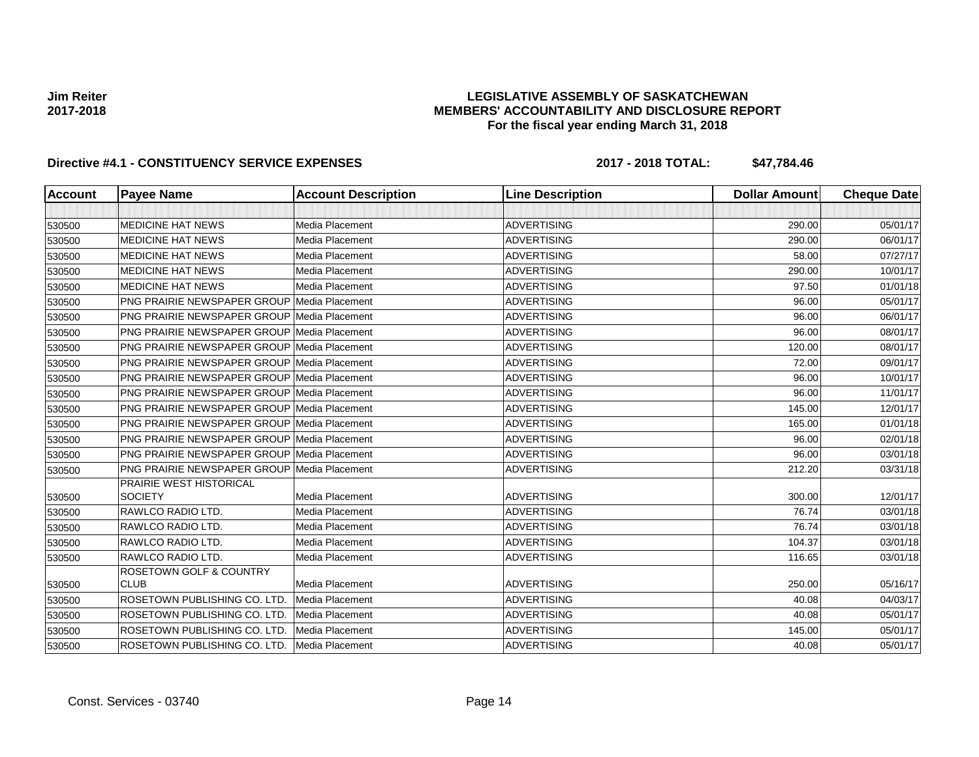### **LEGISLATIVE ASSEMBLY OF SASKATCHEWAN MEMBERS' ACCOUNTABILITY AND DISCLOSURE REPORT For the fiscal year ending March 31, 2018**

| <b>Account</b> | <b>Payee Name</b>                                  | <b>Account Description</b> | <b>Line Description</b> | <b>Dollar Amount</b> | <b>Cheque Date</b> |
|----------------|----------------------------------------------------|----------------------------|-------------------------|----------------------|--------------------|
|                |                                                    |                            |                         |                      |                    |
| 530500         | <b>MEDICINE HAT NEWS</b>                           | Media Placement            | <b>ADVERTISING</b>      | 290.00               | 05/01/17           |
| 530500         | <b>MEDICINE HAT NEWS</b>                           | <b>Media Placement</b>     | <b>ADVERTISING</b>      | 290.00               | 06/01/17           |
| 530500         | <b>MEDICINE HAT NEWS</b>                           | Media Placement            | <b>ADVERTISING</b>      | 58.00                | 07/27/17           |
| 530500         | <b>MEDICINE HAT NEWS</b>                           | Media Placement            | <b>ADVERTISING</b>      | 290.00               | 10/01/17           |
| 530500         | <b>MEDICINE HAT NEWS</b>                           | Media Placement            | <b>ADVERTISING</b>      | 97.50                | 01/01/18           |
| 530500         | <b>PNG PRAIRIE NEWSPAPER GROUP Media Placement</b> |                            | <b>ADVERTISING</b>      | 96.00                | 05/01/17           |
| 530500         | <b>PNG PRAIRIE NEWSPAPER GROUP Media Placement</b> |                            | <b>ADVERTISING</b>      | 96.00                | 06/01/17           |
| 530500         | PNG PRAIRIE NEWSPAPER GROUP Media Placement        |                            | <b>ADVERTISING</b>      | 96.00                | 08/01/17           |
| 530500         | <b>PNG PRAIRIE NEWSPAPER GROUP Media Placement</b> |                            | <b>ADVERTISING</b>      | 120.00               | 08/01/17           |
| 530500         | <b>PNG PRAIRIE NEWSPAPER GROUP Media Placement</b> |                            | <b>ADVERTISING</b>      | 72.00                | 09/01/17           |
| 530500         | PNG PRAIRIE NEWSPAPER GROUP Media Placement        |                            | <b>ADVERTISING</b>      | 96.00                | 10/01/17           |
| 530500         | <b>PNG PRAIRIE NEWSPAPER GROUP Media Placement</b> |                            | <b>ADVERTISING</b>      | 96.00                | 11/01/17           |
| 530500         | <b>PNG PRAIRIE NEWSPAPER GROUP Media Placement</b> |                            | <b>ADVERTISING</b>      | 145.00               | 12/01/17           |
| 530500         | <b>PNG PRAIRIE NEWSPAPER GROUP Media Placement</b> |                            | <b>ADVERTISING</b>      | 165.00               | 01/01/18           |
| 530500         | <b>PNG PRAIRIE NEWSPAPER GROUP Media Placement</b> |                            | <b>ADVERTISING</b>      | 96.00                | 02/01/18           |
| 530500         | <b>PNG PRAIRIE NEWSPAPER GROUP Media Placement</b> |                            | <b>ADVERTISING</b>      | 96.00                | 03/01/18           |
| 530500         | <b>PNG PRAIRIE NEWSPAPER GROUP Media Placement</b> |                            | <b>ADVERTISING</b>      | 212.20               | 03/31/18           |
|                | PRAIRIE WEST HISTORICAL                            |                            |                         |                      |                    |
| 530500         | <b>SOCIETY</b>                                     | Media Placement            | <b>ADVERTISING</b>      | 300.00               | 12/01/17           |
| 530500         | RAWLCO RADIO LTD.                                  | <b>Media Placement</b>     | <b>ADVERTISING</b>      | 76.74                | 03/01/18           |
| 530500         | <b>RAWLCO RADIO LTD.</b>                           | Media Placement            | <b>ADVERTISING</b>      | 76.74                | 03/01/18           |
| 530500         | RAWLCO RADIO LTD.                                  | Media Placement            | <b>ADVERTISING</b>      | 104.37               | 03/01/18           |
| 530500         | RAWLCO RADIO LTD.                                  | Media Placement            | <b>ADVERTISING</b>      | 116.65               | 03/01/18           |
| 530500         | <b>ROSETOWN GOLF &amp; COUNTRY</b><br><b>CLUB</b>  | Media Placement            | <b>ADVERTISING</b>      | 250.00               | 05/16/17           |
| 530500         | ROSETOWN PUBLISHING CO. LTD.                       | Media Placement            | <b>ADVERTISING</b>      | 40.08                | 04/03/17           |
| 530500         | ROSETOWN PUBLISHING CO. LTD.                       | Media Placement            | <b>ADVERTISING</b>      | 40.08                | 05/01/17           |
| 530500         | ROSETOWN PUBLISHING CO. LTD.                       | Media Placement            | <b>ADVERTISING</b>      | 145.00               | 05/01/17           |
| 530500         | ROSETOWN PUBLISHING CO. LTD.                       | Media Placement            | <b>ADVERTISING</b>      | 40.08                | 05/01/17           |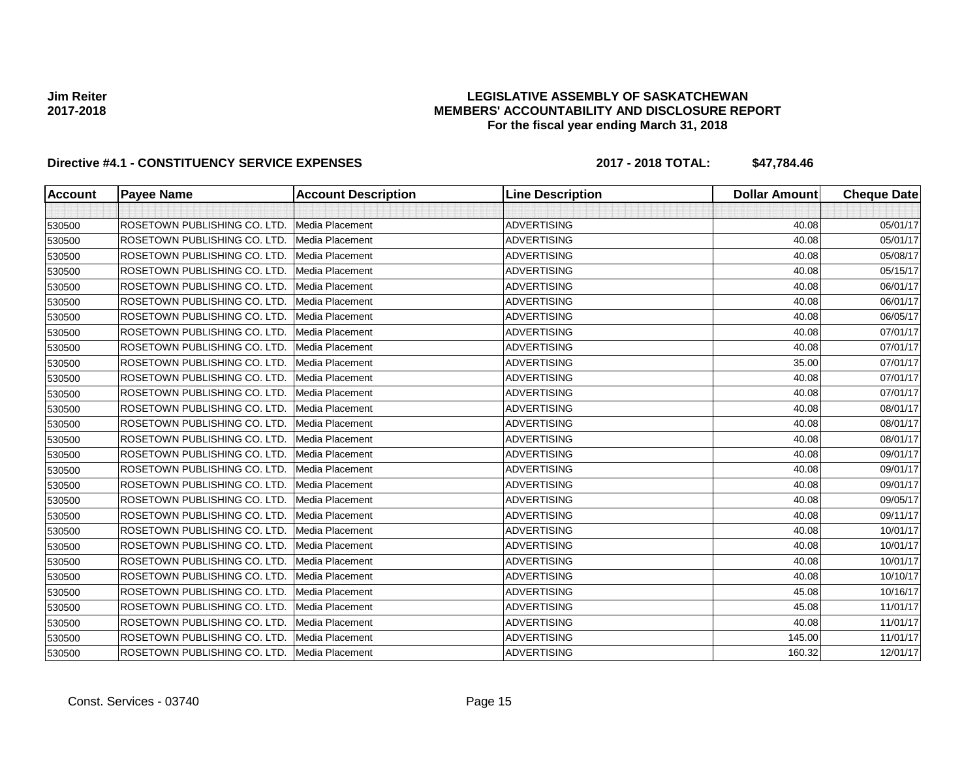### **LEGISLATIVE ASSEMBLY OF SASKATCHEWAN MEMBERS' ACCOUNTABILITY AND DISCLOSURE REPORT For the fiscal year ending March 31, 2018**

| <b>Account</b> | <b>Payee Name</b>            | <b>Account Description</b> | <b>Line Description</b> | <b>Dollar Amount</b> | <b>Cheque Date</b> |
|----------------|------------------------------|----------------------------|-------------------------|----------------------|--------------------|
|                |                              |                            |                         |                      |                    |
| 530500         | ROSETOWN PUBLISHING CO. LTD. | Media Placement            | <b>ADVERTISING</b>      | 40.08                | 05/01/17           |
| 530500         | ROSETOWN PUBLISHING CO. LTD. | <b>Media Placement</b>     | <b>ADVERTISING</b>      | 40.08                | 05/01/17           |
| 530500         | ROSETOWN PUBLISHING CO. LTD. | <b>Media Placement</b>     | <b>ADVERTISING</b>      | 40.08                | 05/08/17           |
| 530500         | ROSETOWN PUBLISHING CO. LTD. | Media Placement            | <b>ADVERTISING</b>      | 40.08                | 05/15/17           |
| 530500         | ROSETOWN PUBLISHING CO. LTD. | <b>Media Placement</b>     | <b>ADVERTISING</b>      | 40.08                | 06/01/17           |
| 530500         | ROSETOWN PUBLISHING CO. LTD. | Media Placement            | <b>ADVERTISING</b>      | 40.08                | 06/01/17           |
| 530500         | ROSETOWN PUBLISHING CO. LTD. | Media Placement            | <b>ADVERTISING</b>      | 40.08                | 06/05/17           |
| 530500         | ROSETOWN PUBLISHING CO. LTD. | <b>Media Placement</b>     | <b>ADVERTISING</b>      | 40.08                | 07/01/17           |
| 530500         | ROSETOWN PUBLISHING CO. LTD. | Media Placement            | <b>ADVERTISING</b>      | 40.08                | 07/01/17           |
| 530500         | ROSETOWN PUBLISHING CO. LTD. | Media Placement            | <b>ADVERTISING</b>      | 35.00                | 07/01/17           |
| 530500         | ROSETOWN PUBLISHING CO. LTD. | Media Placement            | <b>ADVERTISING</b>      | 40.08                | 07/01/17           |
| 530500         | ROSETOWN PUBLISHING CO. LTD. | <b>Media Placement</b>     | <b>ADVERTISING</b>      | 40.08                | 07/01/17           |
| 530500         | ROSETOWN PUBLISHING CO. LTD. | <b>Media Placement</b>     | <b>ADVERTISING</b>      | 40.08                | 08/01/17           |
| 530500         | ROSETOWN PUBLISHING CO. LTD. | Media Placement            | <b>ADVERTISING</b>      | 40.08                | 08/01/17           |
| 530500         | ROSETOWN PUBLISHING CO. LTD. | Media Placement            | <b>ADVERTISING</b>      | 40.08                | 08/01/17           |
| 530500         | ROSETOWN PUBLISHING CO. LTD. | <b>Media Placement</b>     | <b>ADVERTISING</b>      | 40.08                | 09/01/17           |
| 530500         | ROSETOWN PUBLISHING CO. LTD. | Media Placement            | <b>ADVERTISING</b>      | 40.08                | 09/01/17           |
| 530500         | ROSETOWN PUBLISHING CO. LTD. | Media Placement            | <b>ADVERTISING</b>      | 40.08                | 09/01/17           |
| 530500         | ROSETOWN PUBLISHING CO. LTD. | Media Placement            | <b>ADVERTISING</b>      | 40.08                | 09/05/17           |
| 530500         | ROSETOWN PUBLISHING CO. LTD. | Media Placement            | <b>ADVERTISING</b>      | 40.08                | 09/11/17           |
| 530500         | ROSETOWN PUBLISHING CO. LTD. | <b>Media Placement</b>     | <b>ADVERTISING</b>      | 40.08                | 10/01/17           |
| 530500         | ROSETOWN PUBLISHING CO. LTD. | Media Placement            | <b>ADVERTISING</b>      | 40.08                | 10/01/17           |
| 530500         | ROSETOWN PUBLISHING CO. LTD. | Media Placement            | <b>ADVERTISING</b>      | 40.08                | 10/01/17           |
| 530500         | ROSETOWN PUBLISHING CO. LTD. | Media Placement            | <b>ADVERTISING</b>      | 40.08                | 10/10/17           |
| 530500         | ROSETOWN PUBLISHING CO. LTD. | Media Placement            | <b>ADVERTISING</b>      | 45.08                | 10/16/17           |
| 530500         | ROSETOWN PUBLISHING CO. LTD. | <b>Media Placement</b>     | <b>ADVERTISING</b>      | 45.08                | 11/01/17           |
| 530500         | ROSETOWN PUBLISHING CO. LTD. | Media Placement            | <b>ADVERTISING</b>      | 40.08                | 11/01/17           |
| 530500         | ROSETOWN PUBLISHING CO. LTD. | Media Placement            | <b>ADVERTISING</b>      | 145.00               | 11/01/17           |
| 530500         | ROSETOWN PUBLISHING CO. LTD. | Media Placement            | <b>ADVERTISING</b>      | 160.32               | 12/01/17           |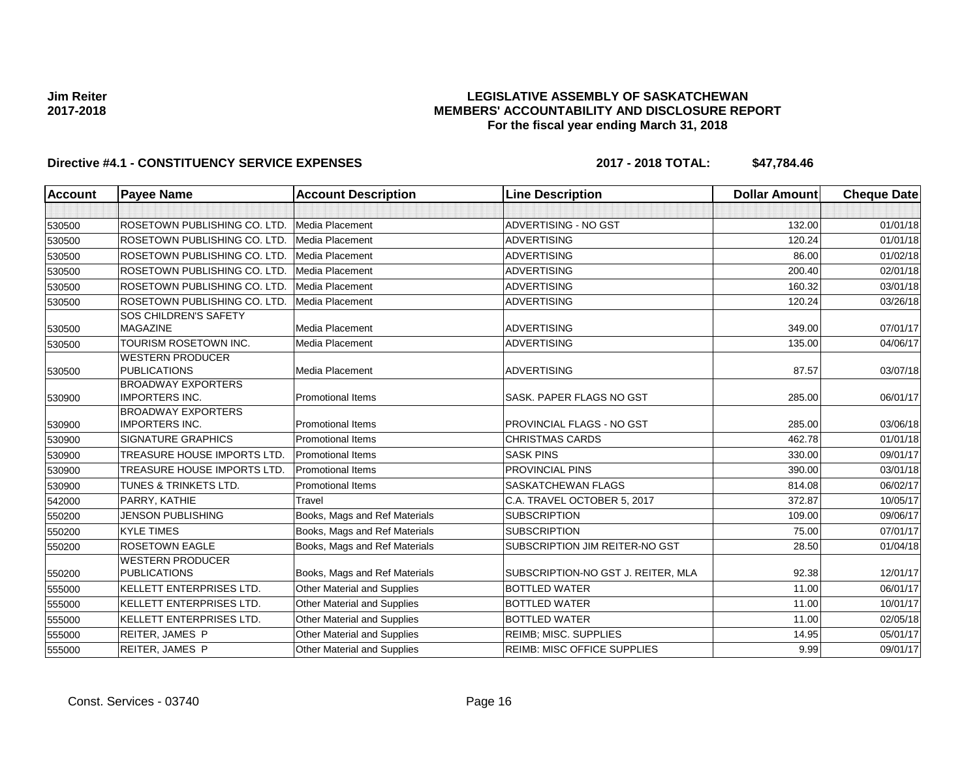### **LEGISLATIVE ASSEMBLY OF SASKATCHEWAN MEMBERS' ACCOUNTABILITY AND DISCLOSURE REPORT For the fiscal year ending March 31, 2018**

| <b>Account</b> | <b>Payee Name</b>                                  | <b>Account Description</b>         | <b>Line Description</b>            | <b>Dollar Amount</b> | <b>Cheque Date</b> |
|----------------|----------------------------------------------------|------------------------------------|------------------------------------|----------------------|--------------------|
|                |                                                    |                                    |                                    |                      |                    |
| 530500         | ROSETOWN PUBLISHING CO. LTD.                       | Media Placement                    | ADVERTISING - NO GST               | 132.00               | 01/01/18           |
| 530500         | ROSETOWN PUBLISHING CO. LTD.                       | Media Placement                    | <b>ADVERTISING</b>                 | 120.24               | 01/01/18           |
| 530500         | ROSETOWN PUBLISHING CO. LTD.                       | Media Placement                    | <b>ADVERTISING</b>                 | 86.00                | 01/02/18           |
| 530500         | ROSETOWN PUBLISHING CO. LTD.                       | Media Placement                    | <b>ADVERTISING</b>                 | 200.40               | 02/01/18           |
| 530500         | ROSETOWN PUBLISHING CO. LTD.                       | Media Placement                    | <b>ADVERTISING</b>                 | 160.32               | 03/01/18           |
| 530500         | ROSETOWN PUBLISHING CO. LTD.                       | Media Placement                    | <b>ADVERTISING</b>                 | 120.24               | 03/26/18           |
| 530500         | <b>SOS CHILDREN'S SAFETY</b><br><b>MAGAZINE</b>    | Media Placement                    | <b>ADVERTISING</b>                 | 349.00               | 07/01/17           |
| 530500         | TOURISM ROSETOWN INC.                              | Media Placement                    | <b>ADVERTISING</b>                 | 135.00               | 04/06/17           |
| 530500         | <b>WESTERN PRODUCER</b><br><b>PUBLICATIONS</b>     | Media Placement                    | <b>ADVERTISING</b>                 | 87.57                | 03/07/18           |
| 530900         | <b>BROADWAY EXPORTERS</b><br><b>IMPORTERS INC.</b> | Promotional Items                  | SASK. PAPER FLAGS NO GST           | 285.00               | 06/01/17           |
| 530900         | <b>BROADWAY EXPORTERS</b><br><b>IMPORTERS INC.</b> | <b>Promotional Items</b>           | PROVINCIAL FLAGS - NO GST          | 285.00               | 03/06/18           |
| 530900         | <b>SIGNATURE GRAPHICS</b>                          | <b>Promotional Items</b>           | <b>CHRISTMAS CARDS</b>             | 462.78               | 01/01/18           |
| 530900         | <b>TREASURE HOUSE IMPORTS LTD.</b>                 | <b>Promotional Items</b>           | <b>SASK PINS</b>                   | 330.00               | 09/01/17           |
| 530900         | <b>TREASURE HOUSE IMPORTS LTD.</b>                 | <b>Promotional Items</b>           | PROVINCIAL PINS                    | 390.00               | 03/01/18           |
| 530900         | <b>TUNES &amp; TRINKETS LTD.</b>                   | <b>Promotional Items</b>           | <b>SASKATCHEWAN FLAGS</b>          | 814.08               | 06/02/17           |
| 542000         | PARRY, KATHIE                                      | Travel                             | C.A. TRAVEL OCTOBER 5, 2017        | 372.87               | 10/05/17           |
| 550200         | <b>JENSON PUBLISHING</b>                           | Books, Mags and Ref Materials      | <b>SUBSCRIPTION</b>                | 109.00               | 09/06/17           |
| 550200         | <b>KYLE TIMES</b>                                  | Books, Mags and Ref Materials      | <b>SUBSCRIPTION</b>                | 75.00                | 07/01/17           |
| 550200         | <b>ROSETOWN EAGLE</b>                              | Books, Mags and Ref Materials      | SUBSCRIPTION JIM REITER-NO GST     | 28.50                | 01/04/18           |
| 550200         | <b>WESTERN PRODUCER</b><br><b>PUBLICATIONS</b>     | Books, Mags and Ref Materials      | SUBSCRIPTION-NO GST J. REITER, MLA | 92.38                | 12/01/17           |
| 555000         | KELLETT ENTERPRISES LTD.                           | <b>Other Material and Supplies</b> | <b>BOTTLED WATER</b>               | 11.00                | 06/01/17           |
| 555000         | KELLETT ENTERPRISES LTD.                           | Other Material and Supplies        | <b>BOTTLED WATER</b>               | 11.00                | 10/01/17           |
| 555000         | KELLETT ENTERPRISES LTD.                           | Other Material and Supplies        | <b>BOTTLED WATER</b>               | 11.00                | 02/05/18           |
| 555000         | <b>REITER, JAMES P</b>                             | <b>Other Material and Supplies</b> | <b>REIMB; MISC. SUPPLIES</b>       | 14.95                | 05/01/17           |
| 555000         | <b>REITER, JAMES P</b>                             | Other Material and Supplies        | <b>REIMB: MISC OFFICE SUPPLIES</b> | 9.99                 | 09/01/17           |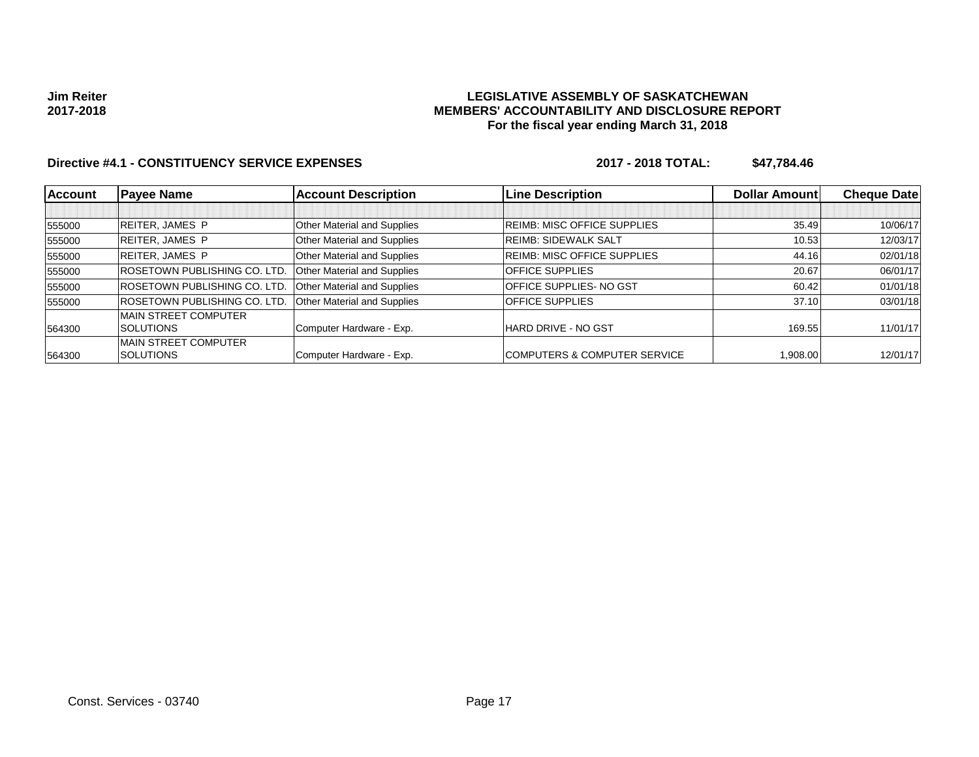### **LEGISLATIVE ASSEMBLY OF SASKATCHEWAN MEMBERS' ACCOUNTABILITY AND DISCLOSURE REPORT For the fiscal year ending March 31, 2018**

| <b>Account</b> | <b>Payee Name</b>                    | <b>Account Description</b>  | <b>Line Description</b>                 | <b>Dollar Amount</b> | <b>Cheque Date</b> |
|----------------|--------------------------------------|-----------------------------|-----------------------------------------|----------------------|--------------------|
|                |                                      |                             |                                         |                      |                    |
| 555000         | <b>REITER, JAMES P</b>               | Other Material and Supplies | <b>REIMB: MISC OFFICE SUPPLIES</b>      | 35.49                | 10/06/17           |
| 555000         | <b>REITER, JAMES P</b>               | Other Material and Supplies | <b>REIMB: SIDEWALK SALT</b>             | 10.53                | 12/03/17           |
| 555000         | <b>REITER, JAMES P</b>               | Other Material and Supplies | <b>REIMB: MISC OFFICE SUPPLIES</b>      | 44.16                | 02/01/18           |
| 555000         | <b>IROSETOWN PUBLISHING CO. LTD.</b> | Other Material and Supplies | <b>OFFICE SUPPLIES</b>                  | 20.67                | 06/01/17           |
| 555000         | <b>ROSETOWN PUBLISHING CO. LTD.</b>  | Other Material and Supplies | <b>OFFICE SUPPLIES- NO GST</b>          | 60.42                | 01/01/18           |
| 555000         | <b>ROSETOWN PUBLISHING CO. LTD.</b>  | Other Material and Supplies | <b>OFFICE SUPPLIES</b>                  | 37.10                | 03/01/18           |
|                | <b>IMAIN STREET COMPUTER</b>         |                             |                                         |                      |                    |
| 564300         | <b>SOLUTIONS</b>                     | Computer Hardware - Exp.    | HARD DRIVE - NO GST                     | 169.55               | 11/01/17           |
|                | <b>IMAIN STREET COMPUTER</b>         |                             |                                         |                      |                    |
| 564300         | <b>SOLUTIONS</b>                     | Computer Hardware - Exp.    | <b>COMPUTERS &amp; COMPUTER SERVICE</b> | 1.908.00             | 12/01/17           |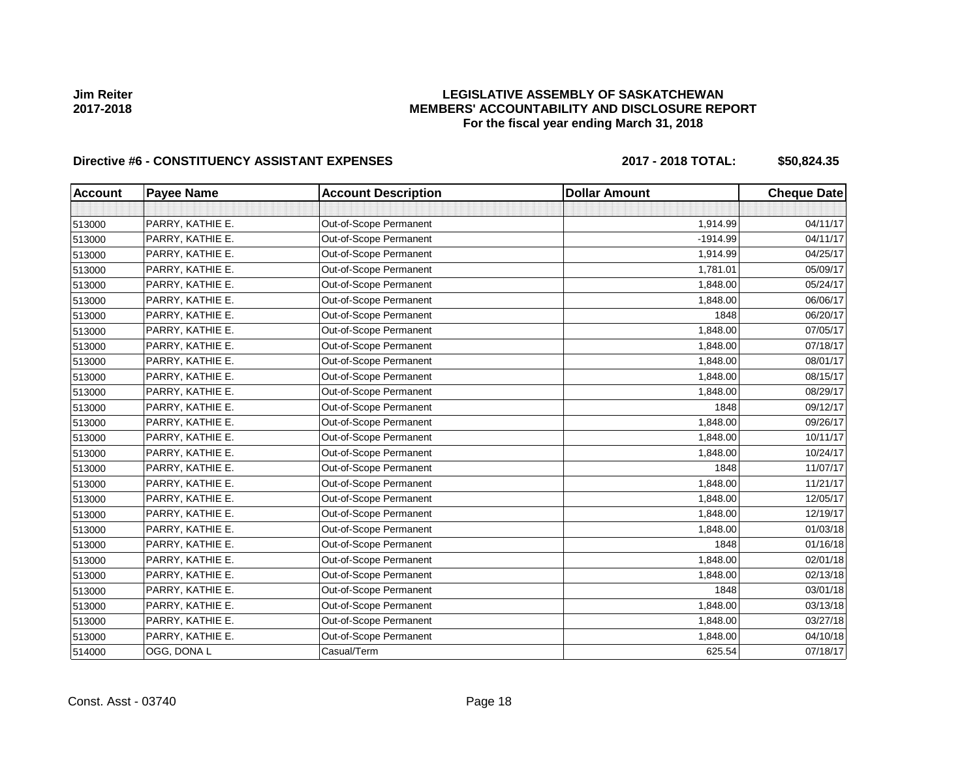### **LEGISLATIVE ASSEMBLY OF SASKATCHEWAN MEMBERS' ACCOUNTABILITY AND DISCLOSURE REPORT For the fiscal year ending March 31, 2018**

# Directive #6 - CONSTITUENCY ASSISTANT EXPENSES 2017 - 2018 TOTAL: \$50,824.35

| <b>Account</b> | <b>Payee Name</b> | <b>Account Description</b> | <b>Dollar Amount</b> | <b>Cheque Date</b> |
|----------------|-------------------|----------------------------|----------------------|--------------------|
|                |                   |                            |                      |                    |
| 513000         | PARRY, KATHIE E.  | Out-of-Scope Permanent     | 1,914.99             | 04/11/17           |
| 513000         | PARRY, KATHIE E.  | Out-of-Scope Permanent     | $-1914.99$           | 04/11/17           |
| 513000         | PARRY, KATHIE E.  | Out-of-Scope Permanent     | 1,914.99             | 04/25/17           |
| 513000         | PARRY, KATHIE E.  | Out-of-Scope Permanent     | 1,781.01             | 05/09/17           |
| 513000         | PARRY, KATHIE E.  | Out-of-Scope Permanent     | 1,848.00             | 05/24/17           |
| 513000         | PARRY, KATHIE E.  | Out-of-Scope Permanent     | 1,848.00             | 06/06/17           |
| 513000         | PARRY, KATHIE E.  | Out-of-Scope Permanent     | 1848                 | 06/20/17           |
| 513000         | PARRY, KATHIE E.  | Out-of-Scope Permanent     | 1,848.00             | 07/05/17           |
| 513000         | PARRY, KATHIE E.  | Out-of-Scope Permanent     | 1,848.00             | 07/18/17           |
| 513000         | PARRY, KATHIE E.  | Out-of-Scope Permanent     | 1,848.00             | 08/01/17           |
| 513000         | PARRY, KATHIE E.  | Out-of-Scope Permanent     | 1,848.00             | 08/15/17           |
| 513000         | PARRY, KATHIE E.  | Out-of-Scope Permanent     | 1,848.00             | 08/29/17           |
| 513000         | PARRY, KATHIE E.  | Out-of-Scope Permanent     | 1848                 | 09/12/17           |
| 513000         | PARRY, KATHIE E.  | Out-of-Scope Permanent     | 1,848.00             | 09/26/17           |
| 513000         | PARRY, KATHIE E.  | Out-of-Scope Permanent     | 1,848.00             | 10/11/17           |
| 513000         | PARRY, KATHIE E.  | Out-of-Scope Permanent     | 1,848.00             | 10/24/17           |
| 513000         | PARRY, KATHIE E.  | Out-of-Scope Permanent     | 1848                 | 11/07/17           |
| 513000         | PARRY, KATHIE E.  | Out-of-Scope Permanent     | 1,848.00             | 11/21/17           |
| 513000         | PARRY, KATHIE E.  | Out-of-Scope Permanent     | 1,848.00             | 12/05/17           |
| 513000         | PARRY, KATHIE E.  | Out-of-Scope Permanent     | 1,848.00             | 12/19/17           |
| 513000         | PARRY, KATHIE E.  | Out-of-Scope Permanent     | 1,848.00             | 01/03/18           |
| 513000         | PARRY, KATHIE E.  | Out-of-Scope Permanent     | 1848                 | 01/16/18           |
| 513000         | PARRY, KATHIE E.  | Out-of-Scope Permanent     | 1,848.00             | 02/01/18           |
| 513000         | PARRY, KATHIE E.  | Out-of-Scope Permanent     | 1.848.00             | 02/13/18           |
| 513000         | PARRY, KATHIE E.  | Out-of-Scope Permanent     | 1848                 | 03/01/18           |
| 513000         | PARRY, KATHIE E.  | Out-of-Scope Permanent     | 1,848.00             | 03/13/18           |
| 513000         | PARRY, KATHIE E.  | Out-of-Scope Permanent     | 1,848.00             | 03/27/18           |
| 513000         | PARRY, KATHIE E.  | Out-of-Scope Permanent     | 1,848.00             | 04/10/18           |
| 514000         | OGG, DONA L       | Casual/Term                | 625.54               | 07/18/17           |